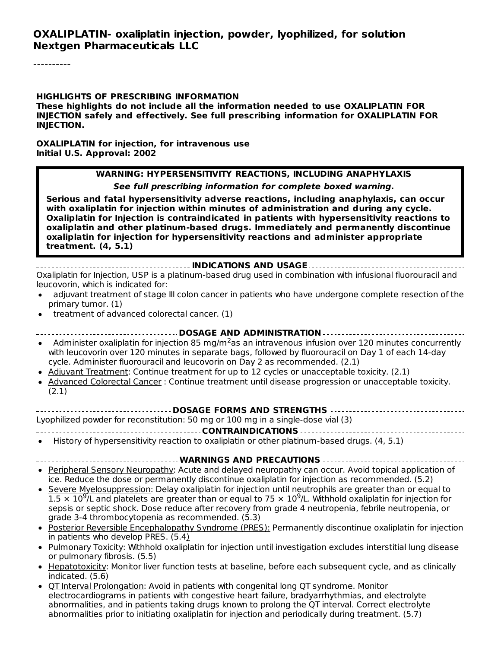#### **HIGHLIGHTS OF PRESCRIBING INFORMATION**

**These highlights do not include all the information needed to use OXALIPLATIN FOR INJECTION safely and effectively. See full prescribing information for OXALIPLATIN FOR INJECTION.**

**OXALIPLATIN for injection, for intravenous use Initial U.S. Approval: 2002**

#### **WARNING: HYPERSENSITIVITY REACTIONS, INCLUDING ANAPHYLAXIS**

**See full prescribing information for complete boxed warning.**

**Serious and fatal hypersensitivity adverse reactions, including anaphylaxis, can occur with oxaliplatin for injection within minutes of administration and during any cycle. Oxaliplatin for Injection is contraindicated in patients with hypersensitivity reactions to oxaliplatin and other platinum-based drugs. Immediately and permanently discontinue oxaliplatin for injection for hypersensitivity reactions and administer appropriate treatment. (4, 5.1)**

#### **INDICATIONS AND USAGE**

Oxaliplatin for Injection, USP is a platinum-based drug used in combination with infusional fluorouracil and leucovorin, which is indicated for:

- adjuvant treatment of stage III colon cancer in patients who have undergone complete resection of the primary tumor. (1)
- treatment of advanced colorectal cancer. (1)  $\bullet$ 
	- **DOSAGE AND ADMINISTRATION**
- Administer oxaliplatin for injection 85 mg/m<sup>2</sup>as an intravenous infusion over 120 minutes concurrently with leucovorin over 120 minutes in separate bags, followed by fluorouracil on Day 1 of each 14-day cycle. Administer fluorouracil and leucovorin on Day 2 as recommended. (2.1)
- Adjuvant Treatment: Continue treatment for up to 12 cycles or unacceptable toxicity. (2.1)
- Advanced Colorectal Cancer : Continue treatment until disease progression or unacceptable toxicity. (2.1)

#### **DOSAGE FORMS AND STRENGTHS**

Lyophilized powder for reconstitution: 50 mg or 100 mg in a single-dose vial (3)

#### **CONTRAINDICATIONS**

History of hypersensitivity reaction to oxaliplatin or other platinum-based drugs. (4, 5.1)

#### **WARNINGS AND PRECAUTIONS**

- Peripheral Sensory Neuropathy: Acute and delayed neuropathy can occur. Avoid topical application of ice. Reduce the dose or permanently discontinue oxaliplatin for injection as recommended. (5.2)
- Severe Myelosuppression: Delay oxaliplatin for injection until neutrophils are greater than or equal to  $1.5 \times 10^9$ /L and platelets are greater than or equal to 75  $\times$  10<sup>9</sup>/L. Withhold oxaliplatin for injection for sepsis or septic shock. Dose reduce after recovery from grade 4 neutropenia, febrile neutropenia, or grade 3-4 thrombocytopenia as recommended. (5.3)
- Posterior Reversible Encephalopathy Syndrome (PRES): Permanently discontinue oxaliplatin for injection in patients who develop PRES. (5.4)
- Pulmonary Toxicity: Withhold oxaliplatin for injection until investigation excludes interstitial lung disease or pulmonary fibrosis. (5.5)
- Hepatotoxicity: Monitor liver function tests at baseline, before each subsequent cycle, and as clinically indicated. (5.6)
- QT Interval Prolongation: Avoid in patients with congenital long QT syndrome. Monitor electrocardiograms in patients with congestive heart failure, bradyarrhythmias, and electrolyte abnormalities, and in patients taking drugs known to prolong the QT interval. Correct electrolyte abnormalities prior to initiating oxaliplatin for injection and periodically during treatment. (5.7)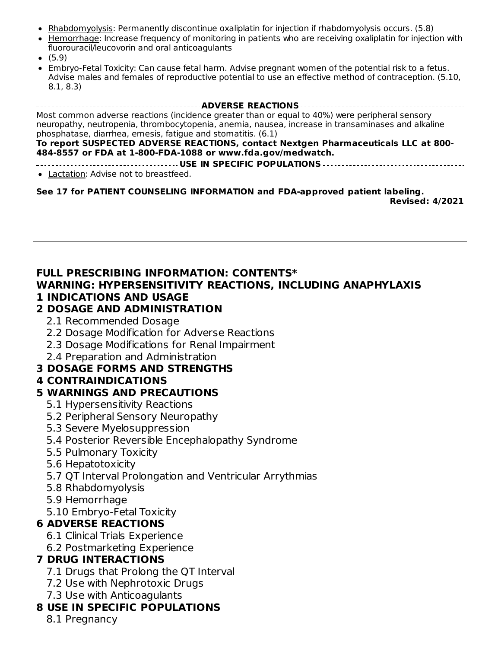- Rhabdomyolysis: Permanently discontinue oxaliplatin for injection if rhabdomyolysis occurs. (5.8)
- Hemorrhage: Increase frequency of monitoring in patients who are receiving oxaliplatin for injection with fluorouracil/leucovorin and oral anticoagulants
- $(5.9)$
- Embryo-Fetal Toxicity: Can cause fetal harm. Advise pregnant women of the potential risk to a fetus. Advise males and females of reproductive potential to use an effective method of contraception. (5.10, 8.1, 8.3)

**ADVERSE REACTIONS** Most common adverse reactions (incidence greater than or equal to 40%) were peripheral sensory neuropathy, neutropenia, thrombocytopenia, anemia, nausea, increase in transaminases and alkaline phosphatase, diarrhea, emesis, fatigue and stomatitis. (6.1)

#### **To report SUSPECTED ADVERSE REACTIONS, contact Nextgen Pharmaceuticals LLC at 800- 484-8557 or FDA at 1-800-FDA-1088 or www.fda.gov/medwatch.**

**USE IN SPECIFIC POPULATIONS** • Lactation: Advise not to breastfeed.

**See 17 for PATIENT COUNSELING INFORMATION and FDA-approved patient labeling. Revised: 4/2021**

### **FULL PRESCRIBING INFORMATION: CONTENTS\***

#### **WARNING: HYPERSENSITIVITY REACTIONS, INCLUDING ANAPHYLAXIS 1 INDICATIONS AND USAGE**

### **2 DOSAGE AND ADMINISTRATION**

- 2.1 Recommended Dosage
- 2.2 Dosage Modification for Adverse Reactions
- 2.3 Dosage Modifications for Renal Impairment
- 2.4 Preparation and Administration

# **3 DOSAGE FORMS AND STRENGTHS**

# **4 CONTRAINDICATIONS**

# **5 WARNINGS AND PRECAUTIONS**

- 5.1 Hypersensitivity Reactions
- 5.2 Peripheral Sensory Neuropathy
- 5.3 Severe Myelosuppression
- 5.4 Posterior Reversible Encephalopathy Syndrome
- 5.5 Pulmonary Toxicity
- 5.6 Hepatotoxicity
- 5.7 QT Interval Prolongation and Ventricular Arrythmias
- 5.8 Rhabdomyolysis
- 5.9 Hemorrhage
- 5.10 Embryo-Fetal Toxicity

# **6 ADVERSE REACTIONS**

- 6.1 Clinical Trials Experience
- 6.2 Postmarketing Experience

# **7 DRUG INTERACTIONS**

- 7.1 Drugs that Prolong the QT Interval
- 7.2 Use with Nephrotoxic Drugs
- 7.3 Use with Anticoagulants

# **8 USE IN SPECIFIC POPULATIONS**

8.1 Pregnancy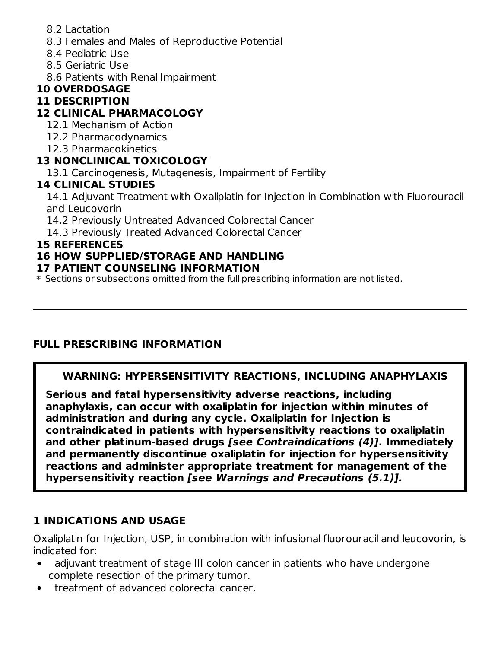- 8.2 Lactation
- 8.3 Females and Males of Reproductive Potential
- 8.4 Pediatric Use
- 8.5 Geriatric Use
- 8.6 Patients with Renal Impairment

# **10 OVERDOSAGE**

### **11 DESCRIPTION**

# **12 CLINICAL PHARMACOLOGY**

- 12.1 Mechanism of Action
- 12.2 Pharmacodynamics
- 12.3 Pharmacokinetics

# **13 NONCLINICAL TOXICOLOGY**

13.1 Carcinogenesis, Mutagenesis, Impairment of Fertility

### **14 CLINICAL STUDIES**

14.1 Adjuvant Treatment with Oxaliplatin for Injection in Combination with Fluorouracil and Leucovorin

14.2 Previously Untreated Advanced Colorectal Cancer

14.3 Previously Treated Advanced Colorectal Cancer

### **15 REFERENCES**

# **16 HOW SUPPLIED/STORAGE AND HANDLING**

### **17 PATIENT COUNSELING INFORMATION**

\* Sections or subsections omitted from the full prescribing information are not listed.

# **FULL PRESCRIBING INFORMATION**

# **WARNING: HYPERSENSITIVITY REACTIONS, INCLUDING ANAPHYLAXIS**

**Serious and fatal hypersensitivity adverse reactions, including anaphylaxis, can occur with oxaliplatin for injection within minutes of administration and during any cycle. Oxaliplatin for Injection is contraindicated in patients with hypersensitivity reactions to oxaliplatin and other platinum-based drugs [see Contraindications (4)]. Immediately and permanently discontinue oxaliplatin for injection for hypersensitivity reactions and administer appropriate treatment for management of the hypersensitivity reaction [see Warnings and Precautions (5.1)].**

# **1 INDICATIONS AND USAGE**

Oxaliplatin for Injection, USP, in combination with infusional fluorouracil and leucovorin, is indicated for:

- adjuvant treatment of stage III colon cancer in patients who have undergone complete resection of the primary tumor.
- treatment of advanced colorectal cancer.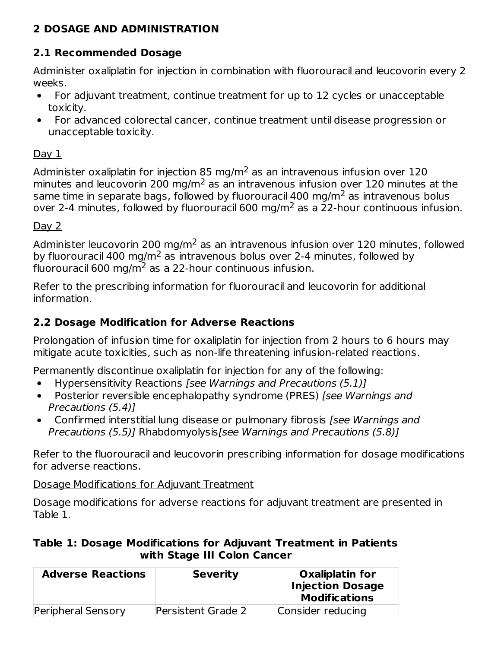# **2 DOSAGE AND ADMINISTRATION**

# **2.1 Recommended Dosage**

Administer oxaliplatin for injection in combination with fluorouracil and leucovorin every 2 weeks.

- For adjuvant treatment, continue treatment for up to 12 cycles or unacceptable  $\bullet$ toxicity.
- For advanced colorectal cancer, continue treatment until disease progression or  $\bullet$ unacceptable toxicity.

### Day 1

Administer oxaliplatin for injection 85 mg/m<sup>2</sup> as an intravenous infusion over 120 minutes and leucovorin 200 mg/m<sup>2</sup> as an intravenous infusion over 120 minutes at the same time in separate bags, followed by fluorouracil 400 mg/m $^2$  as intravenous bolus over 2-4 minutes, followed by fluorouracil 600 mg/m $^2$  as a 22-hour continuous infusion.

# Day 2

Administer leucovorin 200 mg/m $^2$  as an intravenous infusion over 120 minutes, followed by fluorouracil 400 mg/m<sup>2</sup> as intravenous bolus over 2-4 minutes, followed by fluorouracil 600 mg/m $^2$  as a 22-hour continuous infusion.

Refer to the prescribing information for fluorouracil and leucovorin for additional information.

# **2.2 Dosage Modification for Adverse Reactions**

Prolongation of infusion time for oxaliplatin for injection from 2 hours to 6 hours may mitigate acute toxicities, such as non-life threatening infusion-related reactions.

Permanently discontinue oxaliplatin for injection for any of the following:

- Hypersensitivity Reactions [see Warnings and Precautions (5.1)]
- $\bullet$ Posterior reversible encephalopathy syndrome (PRES) [see Warnings and Precautions (5.4)]
- Confirmed interstitial lung disease or pulmonary fibrosis [see Warnings and  $\bullet$ Precautions (5.5)] Rhabdomyolysis[see Warnings and Precautions (5.8)]

Refer to the fluorouracil and leucovorin prescribing information for dosage modifications for adverse reactions.

Dosage Modifications for Adjuvant Treatment

Dosage modifications for adverse reactions for adjuvant treatment are presented in Table 1.

# **Table 1: Dosage Modifications for Adjuvant Treatment in Patients with Stage III Colon Cancer**

| <b>Adverse Reactions</b>  | <b>Severity</b>           | Oxaliplatin for<br><b>Injection Dosage</b><br><b>Modifications</b> |
|---------------------------|---------------------------|--------------------------------------------------------------------|
| <b>Peripheral Sensory</b> | <b>Persistent Grade 2</b> | Consider reducing                                                  |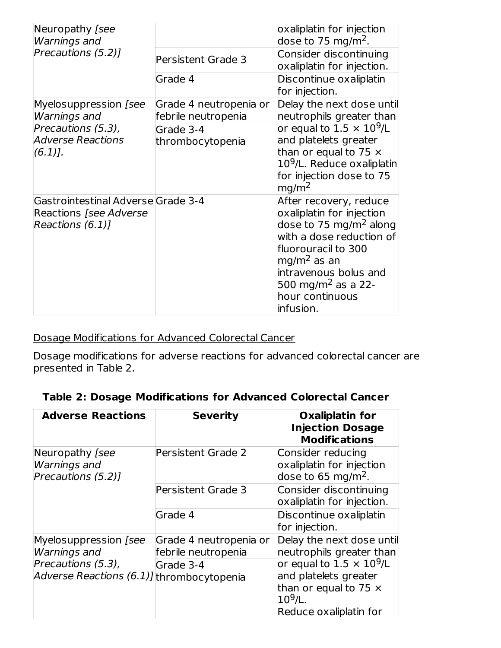| Neuropathy [see<br><b>Warnings and</b>                                                  |                                               | oxaliplatin for injection<br>dose to 75 mg/m <sup>2</sup> .                                                                                                                                                                                              |
|-----------------------------------------------------------------------------------------|-----------------------------------------------|----------------------------------------------------------------------------------------------------------------------------------------------------------------------------------------------------------------------------------------------------------|
| Precautions (5.2)]                                                                      | <b>Persistent Grade 3</b>                     | Consider discontinuing<br>oxaliplatin for injection.                                                                                                                                                                                                     |
|                                                                                         | Grade 4                                       | Discontinue oxaliplatin<br>for injection.                                                                                                                                                                                                                |
| Myelosuppression [see<br><b>Warnings and</b>                                            | Grade 4 neutropenia or<br>febrile neutropenia | Delay the next dose until<br>neutrophils greater than                                                                                                                                                                                                    |
| Precautions (5.3),<br><b>Adverse Reactions</b><br>$(6.1)$ .                             | Grade 3-4<br>thrombocytopenia                 | or equal to 1.5 $\times$ 10 <sup>9</sup> /L<br>and platelets greater<br>than or equal to 75 $\times$<br>10 <sup>9</sup> /L. Reduce oxaliplatin<br>for injection dose to 75<br>mg/m <sup>2</sup>                                                          |
| Gastrointestinal Adverse Grade 3-4<br><b>Reactions [see Adverse</b><br>Reactions (6.1)] |                                               | After recovery, reduce<br>oxaliplatin for injection<br>dose to 75 mg/m <sup>2</sup> along<br>with a dose reduction of<br>fluorouracil to 300<br>$mg/m2$ as an<br>intravenous bolus and<br>500 mg/m <sup>2</sup> as a 22-<br>hour continuous<br>infusion. |

Dosage Modifications for Advanced Colorectal Cancer

Dosage modifications for adverse reactions for advanced colorectal cancer are presented in Table 2.

| Table 2: Dosage Modifications for Advanced Colorectal Cancer |  |  |  |  |  |  |  |
|--------------------------------------------------------------|--|--|--|--|--|--|--|
|--------------------------------------------------------------|--|--|--|--|--|--|--|

| <b>Adverse Reactions</b>                                                                                                        | <b>Severity</b>                                            | <b>Oxaliplatin for</b><br><b>Injection Dosage</b><br><b>Modifications</b>                                                                                                                  |
|---------------------------------------------------------------------------------------------------------------------------------|------------------------------------------------------------|--------------------------------------------------------------------------------------------------------------------------------------------------------------------------------------------|
| Neuropathy [see<br><b>Warnings and</b><br>Precautions (5.2)]                                                                    | <b>Persistent Grade 2</b>                                  | Consider reducing<br>oxaliplatin for injection<br>dose to 65 mg/m <sup>2</sup> .                                                                                                           |
|                                                                                                                                 | <b>Persistent Grade 3</b>                                  | Consider discontinuing<br>oxaliplatin for injection.                                                                                                                                       |
|                                                                                                                                 | Grade 4                                                    | Discontinue oxaliplatin<br>for injection.                                                                                                                                                  |
| Myelosuppression [see<br><b>Warnings</b> and<br>Precautions (5.3),<br>$\vert$ A <i>dverse Reactions (6.1)]</i> thrombocytopenia | Grade 4 neutropenia or<br>febrile neutropenia<br>Grade 3-4 | Delay the next dose until<br>neutrophils greater than<br>or equal to $1.5 \times 10^9$ /L<br>and platelets greater<br>than or equal to 75 $\times$<br>$10^9$ /L.<br>Reduce oxaliplatin for |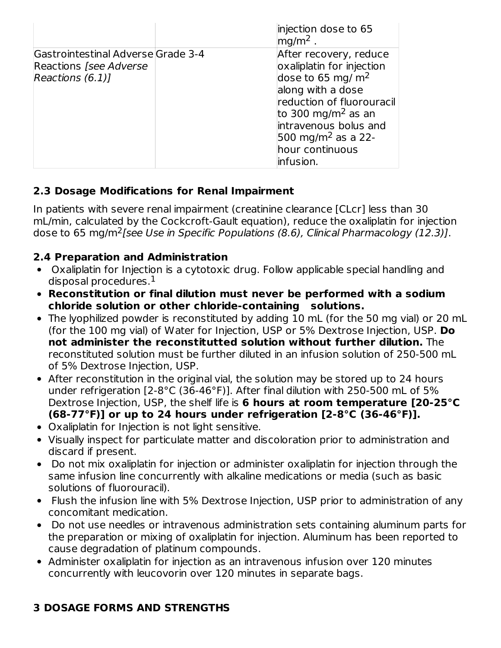|                                                                                          | injection dose to 65<br>$mg/m2$ .                                                                                                                                                                                                                         |
|------------------------------------------------------------------------------------------|-----------------------------------------------------------------------------------------------------------------------------------------------------------------------------------------------------------------------------------------------------------|
| Gastrointestinal Adverse Grade 3-4<br><b>Reactions [see Adverse</b><br>Reactions $(6.1)$ | After recovery, reduce<br>oxaliplatin for injection<br>dose to 65 mg/ $m2$<br>along with a dose<br>reduction of fluorouracil<br>to 300 mg/m <sup>2</sup> as an<br>intravenous bolus and<br>500 mg/m <sup>2</sup> as a 22-<br>hour continuous<br>infusion. |

# **2.3 Dosage Modifications for Renal Impairment**

In patients with severe renal impairment (creatinine clearance [CLcr] less than 30 mL/min, calculated by the Cockcroft-Gault equation), reduce the oxaliplatin for injection dose to 65 mg/m<sup>2</sup>[see Use in Specific Populations (8.6), Clinical Pharmacology (12.3)].

# **2.4 Preparation and Administration**

- Oxaliplatin for Injection is a cytotoxic drug. Follow applicable special handling and disposal procedures. $^{\rm 1}$
- **Reconstitution or final dilution must never be performed with a sodium chloride solution or other chloride-containing solutions.**
- The lyophilized powder is reconstituted by adding 10 mL (for the 50 mg vial) or 20 mL (for the 100 mg vial) of Water for Injection, USP or 5% Dextrose Injection, USP. **Do not administer the reconstitutted solution without further dilution.** The reconstituted solution must be further diluted in an infusion solution of 250-500 mL of 5% Dextrose Injection, USP.
- After reconstitution in the original vial, the solution may be stored up to 24 hours under refrigeration [2-8°C (36-46°F)]. After final dilution with 250-500 mL of 5% Dextrose Injection, USP, the shelf life is **6 hours at room temperature [20-25°C (68-77°F)] or up to 24 hours under refrigeration [2-8°C (36-46°F)].**
- Oxaliplatin for Injection is not light sensitive.
- Visually inspect for particulate matter and discoloration prior to administration and discard if present.
- Do not mix oxaliplatin for injection or administer oxaliplatin for injection through the same infusion line concurrently with alkaline medications or media (such as basic solutions of fluorouracil).
- Flush the infusion line with 5% Dextrose Injection, USP prior to administration of any concomitant medication.
- Do not use needles or intravenous administration sets containing aluminum parts for the preparation or mixing of oxaliplatin for injection. Aluminum has been reported to cause degradation of platinum compounds.
- Administer oxaliplatin for injection as an intravenous infusion over 120 minutes concurrently with leucovorin over 120 minutes in separate bags.

# **3 DOSAGE FORMS AND STRENGTHS**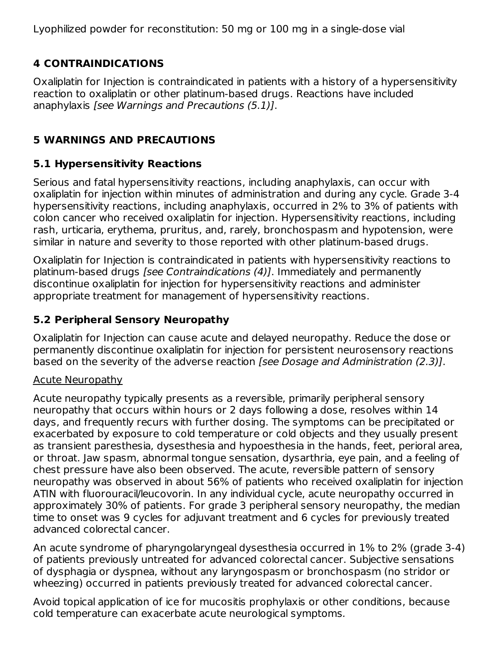Lyophilized powder for reconstitution: 50 mg or 100 mg in a single-dose vial

# **4 CONTRAINDICATIONS**

Oxaliplatin for Injection is contraindicated in patients with a history of a hypersensitivity reaction to oxaliplatin or other platinum-based drugs. Reactions have included anaphylaxis [see Warnings and Precautions (5.1)].

# **5 WARNINGS AND PRECAUTIONS**

# **5.1 Hypersensitivity Reactions**

Serious and fatal hypersensitivity reactions, including anaphylaxis, can occur with oxaliplatin for injection within minutes of administration and during any cycle. Grade 3-4 hypersensitivity reactions, including anaphylaxis, occurred in 2% to 3% of patients with colon cancer who received oxaliplatin for injection. Hypersensitivity reactions, including rash, urticaria, erythema, pruritus, and, rarely, bronchospasm and hypotension, were similar in nature and severity to those reported with other platinum-based drugs.

Oxaliplatin for Injection is contraindicated in patients with hypersensitivity reactions to platinum-based drugs [see Contraindications (4)]. Immediately and permanently discontinue oxaliplatin for injection for hypersensitivity reactions and administer appropriate treatment for management of hypersensitivity reactions.

# **5.2 Peripheral Sensory Neuropathy**

Oxaliplatin for Injection can cause acute and delayed neuropathy. Reduce the dose or permanently discontinue oxaliplatin for injection for persistent neurosensory reactions based on the severity of the adverse reaction [see Dosage and Administration (2.3)].

# Acute Neuropathy

Acute neuropathy typically presents as a reversible, primarily peripheral sensory neuropathy that occurs within hours or 2 days following a dose, resolves within 14 days, and frequently recurs with further dosing. The symptoms can be precipitated or exacerbated by exposure to cold temperature or cold objects and they usually present as transient paresthesia, dysesthesia and hypoesthesia in the hands, feet, perioral area, or throat. Jaw spasm, abnormal tongue sensation, dysarthria, eye pain, and a feeling of chest pressure have also been observed. The acute, reversible pattern of sensory neuropathy was observed in about 56% of patients who received oxaliplatin for injection ATIN with fluorouracil/leucovorin. In any individual cycle, acute neuropathy occurred in approximately 30% of patients. For grade 3 peripheral sensory neuropathy, the median time to onset was 9 cycles for adjuvant treatment and 6 cycles for previously treated advanced colorectal cancer.

An acute syndrome of pharyngolaryngeal dysesthesia occurred in 1% to 2% (grade 3-4) of patients previously untreated for advanced colorectal cancer. Subjective sensations of dysphagia or dyspnea, without any laryngospasm or bronchospasm (no stridor or wheezing) occurred in patients previously treated for advanced colorectal cancer.

Avoid topical application of ice for mucositis prophylaxis or other conditions, because cold temperature can exacerbate acute neurological symptoms.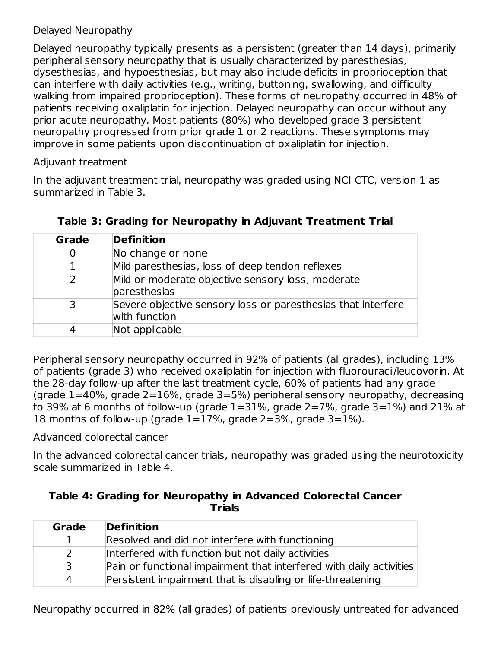### Delayed Neuropathy

Delayed neuropathy typically presents as a persistent (greater than 14 days), primarily peripheral sensory neuropathy that is usually characterized by paresthesias, dysesthesias, and hypoesthesias, but may also include deficits in proprioception that can interfere with daily activities (e.g., writing, buttoning, swallowing, and difficulty walking from impaired proprioception). These forms of neuropathy occurred in 48% of patients receiving oxaliplatin for injection. Delayed neuropathy can occur without any prior acute neuropathy. Most patients (80%) who developed grade 3 persistent neuropathy progressed from prior grade 1 or 2 reactions. These symptoms may improve in some patients upon discontinuation of oxaliplatin for injection.

Adjuvant treatment

In the adjuvant treatment trial, neuropathy was graded using NCI CTC, version 1 as summarized in Table 3.

| <b>Grade</b> | <b>Definition</b>                                                             |
|--------------|-------------------------------------------------------------------------------|
| O            | No change or none                                                             |
|              | Mild paresthesias, loss of deep tendon reflexes                               |
| 7            | Mild or moderate objective sensory loss, moderate<br>paresthesias             |
|              | Severe objective sensory loss or paresthesias that interfere<br>with function |
|              | Not applicable                                                                |

|  | Table 3: Grading for Neuropathy in Adjuvant Treatment Trial |  |
|--|-------------------------------------------------------------|--|
|  |                                                             |  |

Peripheral sensory neuropathy occurred in 92% of patients (all grades), including 13% of patients (grade 3) who received oxaliplatin for injection with fluorouracil/leucovorin. At the 28-day follow-up after the last treatment cycle, 60% of patients had any grade (grade 1=40%, grade 2=16%, grade 3=5%) peripheral sensory neuropathy, decreasing to 39% at 6 months of follow-up (grade  $1=31$ %, grade  $2=7$ %, grade  $3=1$ %) and 21% at 18 months of follow-up (grade 1=17%, grade 2=3%, grade 3=1%).

Advanced colorectal cancer

In the advanced colorectal cancer trials, neuropathy was graded using the neurotoxicity scale summarized in Table 4.

| Table 4: Grading for Neuropathy in Advanced Colorectal Cancer |
|---------------------------------------------------------------|
| <b>Trials</b>                                                 |

| Grade         | <b>Definition</b>                                                   |
|---------------|---------------------------------------------------------------------|
|               | Resolved and did not interfere with functioning                     |
| $\mathcal{P}$ | Interfered with function but not daily activities                   |
| 3             | Pain or functional impairment that interfered with daily activities |
| 4             | Persistent impairment that is disabling or life-threatening         |

Neuropathy occurred in 82% (all grades) of patients previously untreated for advanced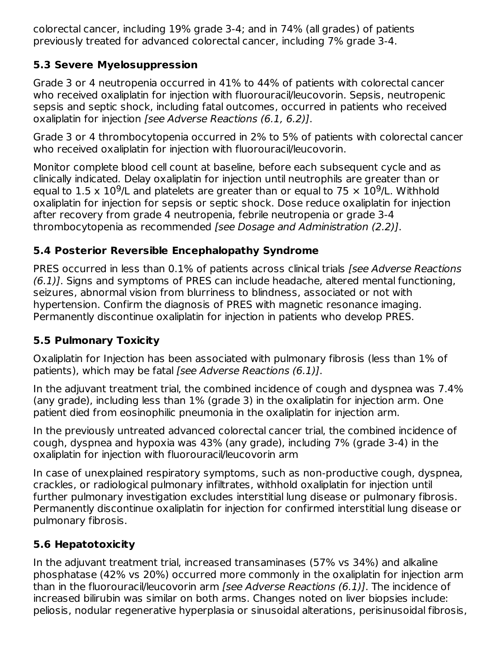colorectal cancer, including 19% grade 3-4; and in 74% (all grades) of patients previously treated for advanced colorectal cancer, including 7% grade 3-4.

# **5.3 Severe Myelosuppression**

Grade 3 or 4 neutropenia occurred in 41% to 44% of patients with colorectal cancer who received oxaliplatin for injection with fluorouracil/leucovorin. Sepsis, neutropenic sepsis and septic shock, including fatal outcomes, occurred in patients who received oxaliplatin for injection [see Adverse Reactions (6.1, 6.2)].

Grade 3 or 4 thrombocytopenia occurred in 2% to 5% of patients with colorectal cancer who received oxaliplatin for injection with fluorouracil/leucovorin.

Monitor complete blood cell count at baseline, before each subsequent cycle and as clinically indicated. Delay oxaliplatin for injection until neutrophils are greater than or equal to 1.5 x 10<sup>9</sup>/L and platelets are greater than or equal to 75  $\times$  10<sup>9</sup>/L. Withhold oxaliplatin for injection for sepsis or septic shock. Dose reduce oxaliplatin for injection after recovery from grade 4 neutropenia, febrile neutropenia or grade 3-4 thrombocytopenia as recommended [see Dosage and Administration (2.2)].

# **5.4 Posterior Reversible Encephalopathy Syndrome**

PRES occurred in less than 0.1% of patients across clinical trials [see Adverse Reactions (6.1)]. Signs and symptoms of PRES can include headache, altered mental functioning, seizures, abnormal vision from blurriness to blindness, associated or not with hypertension. Confirm the diagnosis of PRES with magnetic resonance imaging. Permanently discontinue oxaliplatin for injection in patients who develop PRES.

# **5.5 Pulmonary Toxicity**

Oxaliplatin for Injection has been associated with pulmonary fibrosis (less than 1% of patients), which may be fatal [see Adverse Reactions (6.1)].

In the adjuvant treatment trial, the combined incidence of cough and dyspnea was 7.4% (any grade), including less than 1% (grade 3) in the oxaliplatin for injection arm. One patient died from eosinophilic pneumonia in the oxaliplatin for injection arm.

In the previously untreated advanced colorectal cancer trial, the combined incidence of cough, dyspnea and hypoxia was 43% (any grade), including 7% (grade 3-4) in the oxaliplatin for injection with fluorouracil/leucovorin arm

In case of unexplained respiratory symptoms, such as non-productive cough, dyspnea, crackles, or radiological pulmonary infiltrates, withhold oxaliplatin for injection until further pulmonary investigation excludes interstitial lung disease or pulmonary fibrosis. Permanently discontinue oxaliplatin for injection for confirmed interstitial lung disease or pulmonary fibrosis.

# **5.6 Hepatotoxicity**

In the adjuvant treatment trial, increased transaminases (57% vs 34%) and alkaline phosphatase (42% vs 20%) occurred more commonly in the oxaliplatin for injection arm than in the fluorouracil/leucovorin arm [see Adverse Reactions (6.1)]. The incidence of increased bilirubin was similar on both arms. Changes noted on liver biopsies include: peliosis, nodular regenerative hyperplasia or sinusoidal alterations, perisinusoidal fibrosis,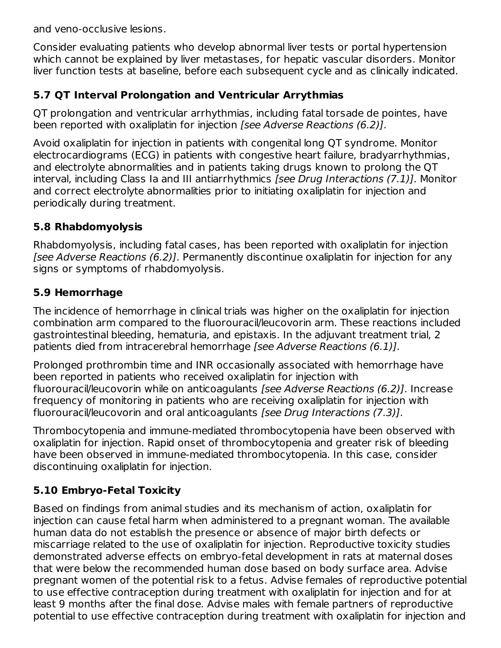and veno-occlusive lesions.

Consider evaluating patients who develop abnormal liver tests or portal hypertension which cannot be explained by liver metastases, for hepatic vascular disorders. Monitor liver function tests at baseline, before each subsequent cycle and as clinically indicated.

# **5.7 QT Interval Prolongation and Ventricular Arrythmias**

QT prolongation and ventricular arrhythmias, including fatal torsade de pointes, have been reported with oxaliplatin for injection [see Adverse Reactions (6.2)].

Avoid oxaliplatin for injection in patients with congenital long QT syndrome. Monitor electrocardiograms (ECG) in patients with congestive heart failure, bradyarrhythmias, and electrolyte abnormalities and in patients taking drugs known to prolong the QT interval, including Class Ia and III antiarrhythmics [see Drug Interactions (7.1)]. Monitor and correct electrolyte abnormalities prior to initiating oxaliplatin for injection and periodically during treatment.

# **5.8 Rhabdomyolysis**

Rhabdomyolysis, including fatal cases, has been reported with oxaliplatin for injection [see Adverse Reactions (6.2)]. Permanently discontinue oxaliplatin for injection for any signs or symptoms of rhabdomyolysis.

# **5.9 Hemorrhage**

The incidence of hemorrhage in clinical trials was higher on the oxaliplatin for injection combination arm compared to the fluorouracil/leucovorin arm. These reactions included gastrointestinal bleeding, hematuria, and epistaxis. In the adjuvant treatment trial, 2 patients died from intracerebral hemorrhage [see Adverse Reactions (6.1)].

Prolonged prothrombin time and INR occasionally associated with hemorrhage have been reported in patients who received oxaliplatin for injection with fluorouracil/leucovorin while on anticoagulants [see Adverse Reactions (6.2)]. Increase frequency of monitoring in patients who are receiving oxaliplatin for injection with fluorouracil/leucovorin and oral anticoagulants [see Drug Interactions (7.3)].

Thrombocytopenia and immune-mediated thrombocytopenia have been observed with oxaliplatin for injection. Rapid onset of thrombocytopenia and greater risk of bleeding have been observed in immune-mediated thrombocytopenia. In this case, consider discontinuing oxaliplatin for injection.

# **5.10 Embryo-Fetal Toxicity**

Based on findings from animal studies and its mechanism of action, oxaliplatin for injection can cause fetal harm when administered to a pregnant woman. The available human data do not establish the presence or absence of major birth defects or miscarriage related to the use of oxaliplatin for injection. Reproductive toxicity studies demonstrated adverse effects on embryo-fetal development in rats at maternal doses that were below the recommended human dose based on body surface area. Advise pregnant women of the potential risk to a fetus. Advise females of reproductive potential to use effective contraception during treatment with oxaliplatin for injection and for at least 9 months after the final dose. Advise males with female partners of reproductive potential to use effective contraception during treatment with oxaliplatin for injection and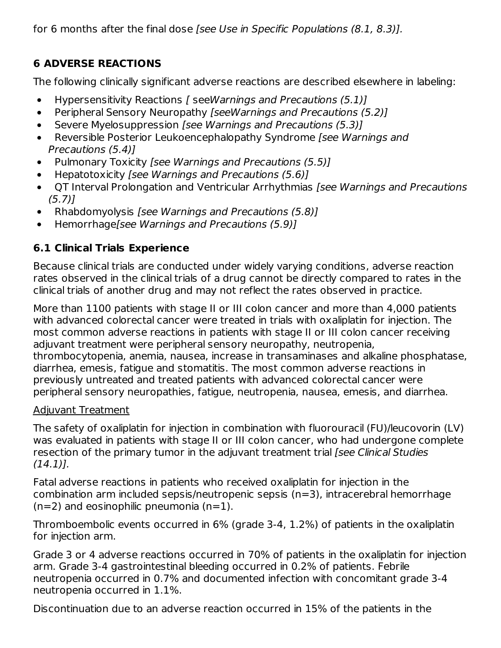for 6 months after the final dose [see Use in Specific Populations (8.1, 8.3)].

# **6 ADVERSE REACTIONS**

The following clinically significant adverse reactions are described elsewhere in labeling:

- Hypersensitivity Reactions [ seeWarnings and Precautions (5.1)]  $\bullet$
- Peripheral Sensory Neuropathy [seeWarnings and Precautions (5.2)]  $\bullet$
- Severe Myelosuppression [see Warnings and Precautions (5.3)]  $\bullet$
- Reversible Posterior Leukoencephalopathy Syndrome [see Warnings and  $\bullet$ Precautions (5.4)]
- Pulmonary Toxicity [see Warnings and Precautions (5.5)]
- Hepatotoxicity [see Warnings and Precautions (5.6)]
- QT Interval Prolongation and Ventricular Arrhythmias [see Warnings and Precautions  $\bullet$ (5.7)]
- Rhabdomyolysis [see Warnings and Precautions (5.8)]  $\bullet$
- Hemorrhage[see Warnings and Precautions (5.9)]

# **6.1 Clinical Trials Experience**

Because clinical trials are conducted under widely varying conditions, adverse reaction rates observed in the clinical trials of a drug cannot be directly compared to rates in the clinical trials of another drug and may not reflect the rates observed in practice.

More than 1100 patients with stage II or III colon cancer and more than 4,000 patients with advanced colorectal cancer were treated in trials with oxaliplatin for injection. The most common adverse reactions in patients with stage II or III colon cancer receiving adjuvant treatment were peripheral sensory neuropathy, neutropenia, thrombocytopenia, anemia, nausea, increase in transaminases and alkaline phosphatase, diarrhea, emesis, fatigue and stomatitis. The most common adverse reactions in previously untreated and treated patients with advanced colorectal cancer were peripheral sensory neuropathies, fatigue, neutropenia, nausea, emesis, and diarrhea.

# Adjuvant Treatment

The safety of oxaliplatin for injection in combination with fluorouracil (FU)/leucovorin (LV) was evaluated in patients with stage II or III colon cancer, who had undergone complete resection of the primary tumor in the adjuvant treatment trial (see Clinical Studies  $(14.1)$ ].

Fatal adverse reactions in patients who received oxaliplatin for injection in the combination arm included sepsis/neutropenic sepsis (n=3), intracerebral hemorrhage  $(n=2)$  and eosinophilic pneumonia  $(n=1)$ .

Thromboembolic events occurred in 6% (grade 3-4, 1.2%) of patients in the oxaliplatin for injection arm.

Grade 3 or 4 adverse reactions occurred in 70% of patients in the oxaliplatin for injection arm. Grade 3-4 gastrointestinal bleeding occurred in 0.2% of patients. Febrile neutropenia occurred in 0.7% and documented infection with concomitant grade 3-4 neutropenia occurred in 1.1%.

Discontinuation due to an adverse reaction occurred in 15% of the patients in the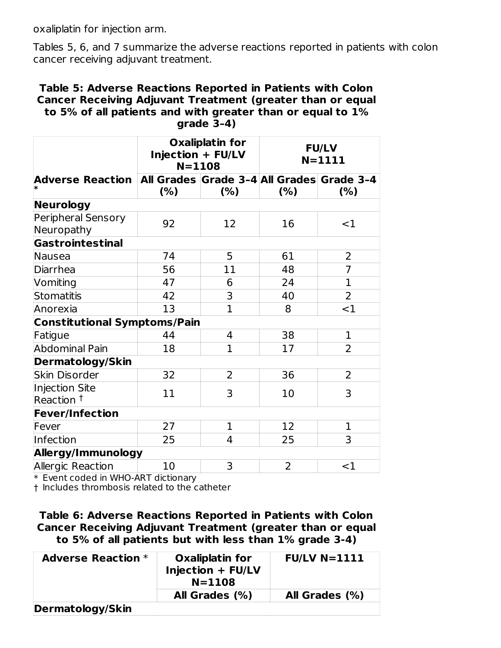oxaliplatin for injection arm.

Tables 5, 6, and 7 summarize the adverse reactions reported in patients with colon cancer receiving adjuvant treatment.

#### **Table 5: Adverse Reactions Reported in Patients with Colon Cancer Receiving Adjuvant Treatment (greater than or equal to 5% of all patients and with greater than or equal to 1% grade 3–4)**

|                                                                    | <b>Oxaliplatin for</b><br>Injection + FU/LV<br>$N = 1108$ |                | <b>FU/LV</b><br>$N = 1111$ |                |
|--------------------------------------------------------------------|-----------------------------------------------------------|----------------|----------------------------|----------------|
| Adverse Reaction   All Grades   Grade 3-4   All Grades   Grade 3-4 | (% )                                                      | (% )           | (% )                       | (%)            |
| Neurology                                                          |                                                           |                |                            |                |
| Peripheral Sensory<br>Neuropathy                                   | 92                                                        | 12             | 16                         | $<$ 1          |
| Gastrointestinal                                                   |                                                           |                |                            |                |
| Nausea                                                             | 74                                                        | 5              | 61                         | $\overline{2}$ |
| Diarrhea                                                           | 56                                                        | 11             | 48                         | $\overline{7}$ |
| Vomiting                                                           | 47                                                        | 6              | 24                         | $\mathbf{1}$   |
| Stomatitis                                                         | 42                                                        | 3              | 40                         | $\overline{2}$ |
| Anorexia                                                           | 13                                                        | $\overline{1}$ | 8                          | <1             |
| <b>Constitutional Symptoms/Pain</b>                                |                                                           |                |                            |                |
| Fatigue                                                            | 44                                                        | 4              | 38                         | $\mathbf{1}$   |
| <b>Abdominal Pain</b>                                              | 18                                                        | 1              | 17                         | $\overline{2}$ |
| Dermatology/Skin                                                   |                                                           |                |                            |                |
| <b>Skin Disorder</b>                                               | 32                                                        | 2              | 36                         | 2              |
| <b>Injection Site</b><br>Reaction <sup>†</sup>                     | 11                                                        | 3              | 10                         | 3              |
| <b>Fever/Infection</b>                                             |                                                           |                |                            |                |
| Fever                                                              | 27                                                        | $\mathbf 1$    | 12                         | $\mathbf{1}$   |
| Infection                                                          | 25                                                        | 4              | 25                         | 3              |
| Allergy/Immunology                                                 |                                                           |                |                            |                |
| Allergic Reaction                                                  | 10                                                        | 3              | $\overline{2}$             | $<$ 1          |

\* Event coded in WHO-ART dictionary

† Includes thrombosis related to the catheter

**Table 6: Adverse Reactions Reported in Patients with Colon Cancer Receiving Adjuvant Treatment (greater than or equal to 5% of all patients but with less than 1% grade 3-4)**

| <b>Adverse Reaction *</b> | <b>Oxaliplatin for</b><br>Injection + FU/LV<br>$N = 1108$ | $FU/LV$ N=1111 |
|---------------------------|-----------------------------------------------------------|----------------|
|                           | All Grades (%)                                            | All Grades (%) |
| Dermatology/Skin          |                                                           |                |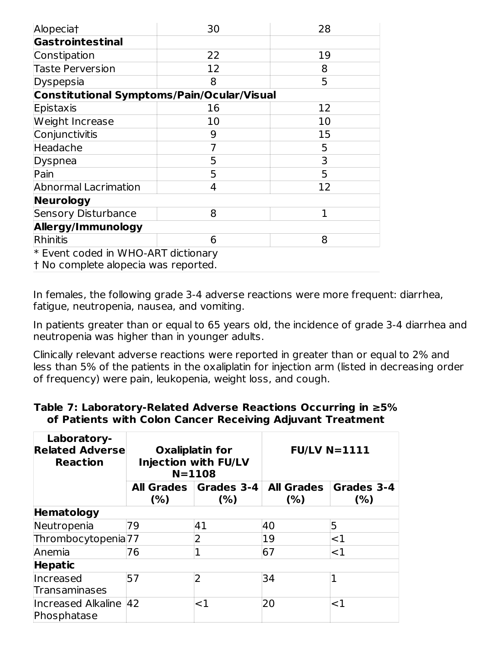| Alopeciat                                         | 30 | 28 |  |  |
|---------------------------------------------------|----|----|--|--|
| <b>Gastrointestinal</b>                           |    |    |  |  |
| Constipation                                      | 22 | 19 |  |  |
| <b>Taste Perversion</b>                           | 12 | 8  |  |  |
| Dyspepsia                                         | 8  | 5  |  |  |
| <b>Constitutional Symptoms/Pain/Ocular/Visual</b> |    |    |  |  |
| Epistaxis                                         | 16 | 12 |  |  |
| Weight Increase                                   | 10 | 10 |  |  |
| Conjunctivitis                                    | 9  | 15 |  |  |
| Headache                                          | 7  | 5  |  |  |
| Dyspnea                                           | 5  | 3  |  |  |
| Pain                                              | 5  | 5  |  |  |
| <b>Abnormal Lacrimation</b>                       | 4  | 12 |  |  |
| <b>Neurology</b>                                  |    |    |  |  |
| <b>Sensory Disturbance</b>                        | 8  | 1  |  |  |
| Allergy/Immunology                                |    |    |  |  |
| Rhinitis                                          | 6  | 8  |  |  |
| * Event coded in WHO-ART dictionary               |    |    |  |  |
| t No complete alopecia was reported.              |    |    |  |  |

In females, the following grade 3-4 adverse reactions were more frequent: diarrhea, fatigue, neutropenia, nausea, and vomiting.

In patients greater than or equal to 65 years old, the incidence of grade 3-4 diarrhea and neutropenia was higher than in younger adults.

Clinically relevant adverse reactions were reported in greater than or equal to 2% and less than 5% of the patients in the oxaliplatin for injection arm (listed in decreasing order of frequency) were pain, leukopenia, weight loss, and cough.

# **Table 7: Laboratory-Related Adverse Reactions Occurring in ≥5% of Patients with Colon Cancer Receiving Adjuvant Treatment**

| Laboratory-<br><b>Related Adverse</b><br><b>Reaction</b> |                                                 | <b>Oxaliplatin for</b><br><b>Injection with FU/LV</b><br>$N = 1108$ | <b>FU/LV N=1111</b>      |                   |  |
|----------------------------------------------------------|-------------------------------------------------|---------------------------------------------------------------------|--------------------------|-------------------|--|
|                                                          | <b>All Grades</b><br>Grades 3-4<br>(% )<br>(% ) |                                                                     | <b>All Grades</b><br>(%) | Grades 3-4<br>(%) |  |
| Hematology                                               |                                                 |                                                                     |                          |                   |  |
| Neutropenia                                              | 79                                              | 41                                                                  | 40                       | 5                 |  |
| Thrombocytopenia <sup>77</sup>                           |                                                 | 2                                                                   | 19                       | $<$ 1             |  |
| Anemia                                                   | 76                                              |                                                                     | 67                       | $<$ 1             |  |
| <b>Hepatic</b>                                           |                                                 |                                                                     |                          |                   |  |
| <b>Increased</b>                                         | 57                                              | $\overline{2}$                                                      | 34                       |                   |  |
| <b>Transaminases</b>                                     |                                                 |                                                                     |                          |                   |  |
| Increased Alkaline 42<br>Phosphatase                     |                                                 | ${<}1$                                                              | 20                       | ${<}1$            |  |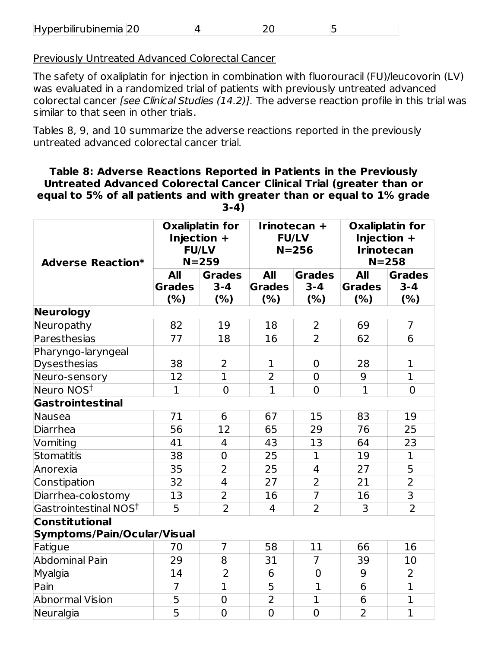| Hyperbilirubinemia 20 |  |  |  |  |
|-----------------------|--|--|--|--|
|-----------------------|--|--|--|--|

Previously Untreated Advanced Colorectal Cancer

The safety of oxaliplatin for injection in combination with fluorouracil (FU)/leucovorin (LV) was evaluated in a randomized trial of patients with previously untreated advanced colorectal cancer [see Clinical Studies (14.2)]. The adverse reaction profile in this trial was similar to that seen in other trials.

Tables 8, 9, and 10 summarize the adverse reactions reported in the previously untreated advanced colorectal cancer trial.

#### **Table 8: Adverse Reactions Reported in Patients in the Previously Untreated Advanced Colorectal Cancer Clinical Trial (greater than or equal to 5% of all patients and with greater than or equal to 1% grade 3-4)**

| <b>Adverse Reaction*</b>                             | <b>Oxaliplatin for</b><br>Injection +<br><b>FU/LV</b><br>$N = 259$ |                                  | Irinotecan +<br><b>FU/LV</b><br>$N = 256$ |                                 | <b>Oxaliplatin for</b><br>Injection +<br><b>Irinotecan</b><br>$N = 258$ |                                 |  |
|------------------------------------------------------|--------------------------------------------------------------------|----------------------------------|-------------------------------------------|---------------------------------|-------------------------------------------------------------------------|---------------------------------|--|
|                                                      | <b>All</b><br><b>Grades</b><br>(%)                                 | <b>Grades</b><br>$3 - 4$<br>(% ) | <b>All</b><br><b>Grades</b><br>(%)        | <b>Grades</b><br>$3 - 4$<br>(%) | <b>All</b><br><b>Grades</b><br>(%)                                      | <b>Grades</b><br>$3 - 4$<br>(%) |  |
| Neurology                                            |                                                                    |                                  |                                           |                                 |                                                                         |                                 |  |
| Neuropathy                                           | 82                                                                 | 19                               | 18                                        | 2                               | 69                                                                      | $\overline{7}$                  |  |
| Paresthesias                                         | 77                                                                 | 18                               | 16                                        | $\overline{2}$                  | 62                                                                      | 6                               |  |
| Pharyngo-laryngeal<br><b>Dysesthesias</b>            | 38                                                                 | 2                                | 1                                         | $\overline{0}$                  | 28                                                                      | 1                               |  |
| Neuro-sensory                                        | 12                                                                 | $\mathbf{1}$                     | $\overline{2}$                            | $\overline{0}$                  | 9                                                                       | $\mathbf{1}$                    |  |
| Neuro NOS <sup>t</sup>                               | $\mathbf{1}$                                                       | $\overline{0}$                   | $\overline{1}$                            | $\overline{0}$                  | $\mathbf{1}$                                                            | $\overline{0}$                  |  |
| Gastrointestinal                                     |                                                                    |                                  |                                           |                                 |                                                                         |                                 |  |
| Nausea                                               | 71                                                                 | 6                                | 67                                        | 15                              | 83                                                                      | 19                              |  |
| Diarrhea                                             | 56                                                                 | 12                               | 65                                        | 29                              | 76                                                                      | 25                              |  |
| Vomiting                                             | 41                                                                 | 4                                | 43                                        | 13                              | 64                                                                      | 23                              |  |
| Stomatitis                                           | 38                                                                 | $\overline{0}$                   | 25                                        | $\mathbf{1}$                    | 19                                                                      | $\mathbf 1$                     |  |
| Anorexia                                             | 35                                                                 | $\overline{2}$                   | 25                                        | $\overline{4}$                  | 27                                                                      | 5                               |  |
| Constipation                                         | 32                                                                 | 4                                | 27                                        | $\overline{2}$                  | 21                                                                      | $\overline{2}$                  |  |
| Diarrhea-colostomy                                   | 13                                                                 | $\overline{2}$                   | 16                                        | $\overline{7}$                  | 16                                                                      | $\overline{3}$                  |  |
| Gastrointestinal NOS <sup>t</sup>                    | 5                                                                  | $\overline{2}$                   | $\overline{4}$                            | $\overline{2}$                  | 3                                                                       | $\overline{2}$                  |  |
| <b>Constitutional</b><br>Symptoms/Pain/Ocular/Visual |                                                                    |                                  |                                           |                                 |                                                                         |                                 |  |
| Fatigue                                              | 70                                                                 | $\overline{7}$                   | 58                                        | 11                              | 66                                                                      | 16                              |  |
| <b>Abdominal Pain</b>                                | 29                                                                 | 8                                | 31                                        | $\overline{7}$                  | 39                                                                      | 10                              |  |
| Myalgia                                              | 14                                                                 | $\overline{2}$                   | 6                                         | $\mathbf 0$                     | 9                                                                       | $\overline{2}$                  |  |
| Pain                                                 | $\overline{7}$                                                     | $\mathbf{1}$                     | 5                                         | $\mathbf{1}$                    | 6                                                                       | $\mathbf{1}$                    |  |
| <b>Abnormal Vision</b>                               | 5                                                                  | $\mathbf 0$                      | $\overline{2}$                            | 1                               | 6                                                                       | $\overline{1}$                  |  |
| Neuralgia                                            | $\overline{5}$                                                     | $\overline{0}$                   | $\overline{0}$                            | $\overline{0}$                  | $\overline{2}$                                                          | $\overline{1}$                  |  |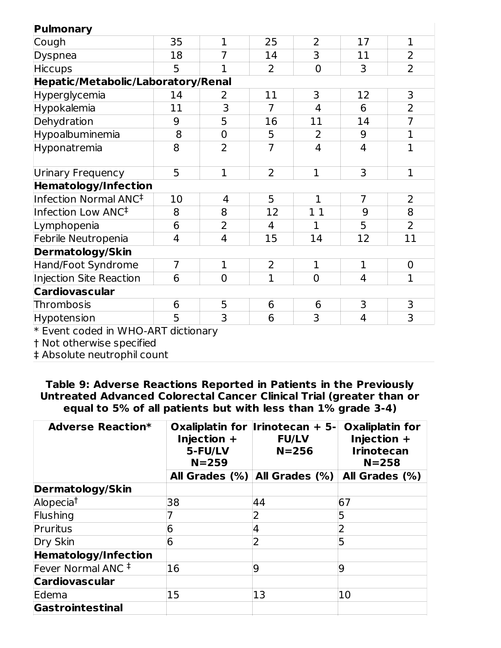| Pulmonary                           |                |                |                |                |                |                |
|-------------------------------------|----------------|----------------|----------------|----------------|----------------|----------------|
| Cough                               | 35             | $\mathbf 1$    | 25             | $\overline{2}$ | 17             | $\mathbf 1$    |
| <b>Dyspnea</b>                      | 18             | $\overline{7}$ | 14             | 3              | 11             | $\overline{2}$ |
| <b>Hiccups</b>                      | 5              | 1              | 2              | $\mathbf 0$    | 3              | $\overline{2}$ |
| Hepatic/Metabolic/Laboratory/Renal  |                |                |                |                |                |                |
| Hyperglycemia                       | 14             | 2              | 11             | 3              | 12             | 3              |
| Hypokalemia                         | 11             | 3              | 7              | $\overline{4}$ | 6              | $\overline{2}$ |
| Dehydration                         | 9              | 5              | 16             | 11             | 14             | $\overline{7}$ |
| Hypoalbuminemia                     | 8              | $\mathbf 0$    | 5              | 2              | 9              | $\mathbf 1$    |
| Hyponatremia                        | 8              | $\overline{2}$ | $\overline{7}$ | 4              | $\overline{4}$ | $\mathbf{1}$   |
| <b>Urinary Frequency</b>            | 5              | $\mathbf 1$    | $\overline{2}$ | $\mathbf{1}$   | 3              | $\mathbf{1}$   |
| <b>Hematology/Infection</b>         |                |                |                |                |                |                |
| Infection Normal ANC <sup>‡</sup>   | 10             | 4              | 5              | $\mathbf{1}$   | $\overline{7}$ | $\overline{2}$ |
| Infection Low ANC <sup>‡</sup>      | 8              | 8              | 12             | 11             | 9              | 8              |
| Lymphopenia                         | 6              | $\overline{2}$ | 4              | $\mathbf{1}$   | 5              | $\overline{2}$ |
| Febrile Neutropenia                 | 4              | 4              | 15             | 14             | 12             | 11             |
| <b>Dermatology/Skin</b>             |                |                |                |                |                |                |
| Hand/Foot Syndrome                  | $\overline{7}$ | $\mathbf{1}$   | 2              | $\mathbf{1}$   | $\mathbf{1}$   | $\mathbf 0$    |
| Injection Site Reaction             | 6              | $\overline{0}$ | $\overline{1}$ | $\overline{0}$ | 4              | $\mathbf{1}$   |
| <b>Cardiovascular</b>               |                |                |                |                |                |                |
| Thrombosis                          | 6              | 5              | 6              | 6              | 3              | 3              |
| Hypotension                         | 5              | 3              | 6              | 3              | $\overline{4}$ | 3              |
| * Event coded in WHO-ART dictionary |                |                |                |                |                |                |

Event coded in WHO-ART dictionary

† Not otherwise specified

‡ Absolute neutrophil count

**Table 9: Adverse Reactions Reported in Patients in the Previously Untreated Advanced Colorectal Cancer Clinical Trial (greater than or equal to 5% of all patients but with less than 1% grade 3-4)**

| <b>Adverse Reaction*</b>      | Injection $+$<br>5-FU/LV<br>$N = 259$ | Oxaliplatin for Irinotecan + 5-<br><b>FU/LV</b><br>$N = 256$ | <b>Oxaliplatin for</b><br>Injection $+$<br><b>Irinotecan</b><br>$N = 258$ |  |
|-------------------------------|---------------------------------------|--------------------------------------------------------------|---------------------------------------------------------------------------|--|
|                               |                                       | All Grades $(\%)$ All Grades $(\%)$                          | All Grades (%)                                                            |  |
| <b>Dermatology/Skin</b>       |                                       |                                                              |                                                                           |  |
| Alopecia <sup>†</sup>         | 38                                    | 44                                                           | 67                                                                        |  |
| Flushing                      |                                       | $\overline{2}$                                               | 5                                                                         |  |
| Pruritus                      | 6                                     | 4                                                            | $\overline{2}$                                                            |  |
| Dry Skin                      | 6                                     | 2                                                            | 5                                                                         |  |
| <b>Hematology/Infection</b>   |                                       |                                                              |                                                                           |  |
| Fever Normal ANC <sup>#</sup> | 16                                    | 9                                                            | $\overline{9}$                                                            |  |
| <b>Cardiovascular</b>         |                                       |                                                              |                                                                           |  |
| Edema                         | 15                                    | 13                                                           | 10                                                                        |  |
| Gastrointestinal              |                                       |                                                              |                                                                           |  |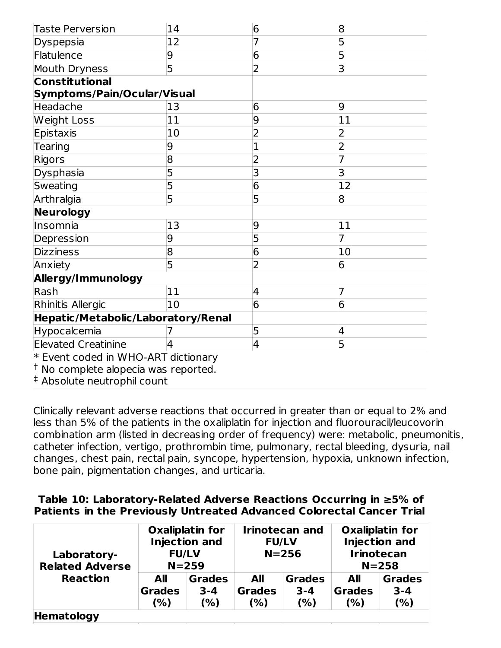| <b>Taste Perversion</b>            | 14 | 6              | 8               |
|------------------------------------|----|----------------|-----------------|
| Dyspepsia                          | 12 | 7              | 5               |
| Flatulence                         | 9  | 6              | 5               |
| Mouth Dryness                      | 5  | 2              | 3               |
| <b>Constitutional</b>              |    |                |                 |
| Symptoms/Pain/Ocular/Visual        |    |                |                 |
| Headache                           | 13 | 6              | 9               |
| <b>Weight Loss</b>                 | 11 | 9              | 11              |
| Epistaxis                          | 10 | $\overline{2}$ | 2               |
| Tearing                            | 9  | 1              | $\overline{2}$  |
| Rigors                             | 8  | $\overline{2}$ |                 |
| Dysphasia                          | 5  | 3              | 3               |
| Sweating                           | 5  | 6              | 12              |
| Arthralgia                         | 5  | 5              | 8               |
| Neurology                          |    |                |                 |
| Insomnia                           | 13 | 9              | 11              |
| Depression                         | 9  | 5              | 7               |
| <b>Dizziness</b>                   | 8  | 6              | 10              |
| Anxiety                            | 5  | 2              | $6\overline{6}$ |
| Allergy/Immunology                 |    |                |                 |
| Rash                               | 11 | 4              | $\overline{7}$  |
| Rhinitis Allergic                  | 10 | 6              | 6               |
| Hepatic/Metabolic/Laboratory/Renal |    |                |                 |
| Hypocalcemia                       |    | 5              | $\overline{4}$  |
| <b>Elevated Creatinine</b>         | 4  | 4              | 5               |

\* Event coded in WHO-ART dictionary

 $\dagger$  No complete alopecia was reported.

Absolute neutrophil count ‡

Clinically relevant adverse reactions that occurred in greater than or equal to 2% and less than 5% of the patients in the oxaliplatin for injection and fluorouracil/leucovorin combination arm (listed in decreasing order of frequency) were: metabolic, pneumonitis, catheter infection, vertigo, prothrombin time, pulmonary, rectal bleeding, dysuria, nail changes, chest pain, rectal pain, syncope, hypertension, hypoxia, unknown infection, bone pain, pigmentation changes, and urticaria.

#### **Table 10: Laboratory-Related Adverse Reactions Occurring in ≥5% of Patients in the Previously Untreated Advanced Colorectal Cancer Trial**

| Laboratory-<br><b>Related Adverse</b> | <b>Oxaliplatin for</b><br><b>Injection and</b><br><b>FU/LV</b><br>$N = 259$ |                                 | <b>Irinotecan and</b><br><b>FU/LV</b><br>$N = 256$ |                                 | <b>Oxaliplatin for</b><br><b>Injection and</b><br><b>Irinotecan</b><br>$N = 258$ |                                 |
|---------------------------------------|-----------------------------------------------------------------------------|---------------------------------|----------------------------------------------------|---------------------------------|----------------------------------------------------------------------------------|---------------------------------|
| <b>Reaction</b>                       | All<br><b>Grades</b><br>(%)                                                 | <b>Grades</b><br>$3 - 4$<br>(%) | <b>All</b><br><b>Grades</b><br>(% )                | <b>Grades</b><br>$3 - 4$<br>(%) | <b>All</b><br><b>Grades</b><br>(%)                                               | <b>Grades</b><br>$3 - 4$<br>(%) |
| Hematology                            |                                                                             |                                 |                                                    |                                 |                                                                                  |                                 |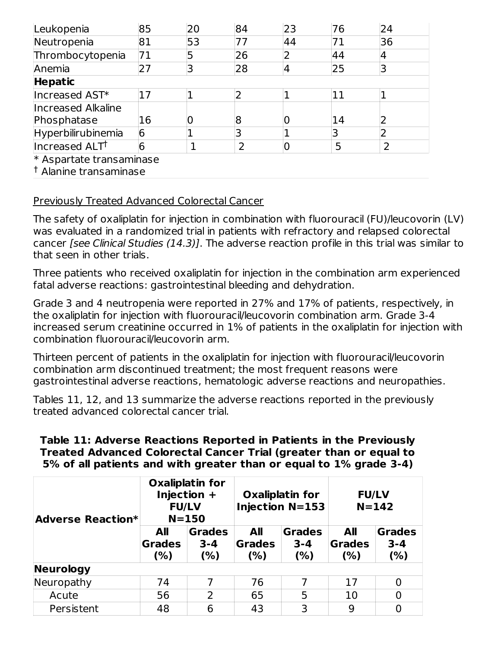| Leukopenia                | 85 | 20 | 84 | 23 | 76 | 24 |
|---------------------------|----|----|----|----|----|----|
| Neutropenia               | 81 | 53 | 77 | 44 |    | 36 |
| Thrombocytopenia          | 71 | 5  | 26 |    | 44 | 4  |
| Anemia                    | 27 | 3  | 28 |    | 25 |    |
| <b>Hepatic</b>            |    |    |    |    |    |    |
| Increased AST*            | 17 |    |    |    | 11 |    |
| <b>Increased Alkaline</b> |    |    |    |    |    |    |
| Phosphatase               | 16 |    | 8  |    | 14 |    |
| Hyperbilirubinemia        | 6  |    | 3  |    |    |    |
| Increased ALTT            | 6  |    | 2  |    | 5  |    |
| * Aspartate transaminase  |    |    |    |    |    |    |

Alanine transaminase †

# Previously Treated Advanced Colorectal Cancer

The safety of oxaliplatin for injection in combination with fluorouracil (FU)/leucovorin (LV) was evaluated in a randomized trial in patients with refractory and relapsed colorectal cancer [see Clinical Studies (14.3)]. The adverse reaction profile in this trial was similar to that seen in other trials.

Three patients who received oxaliplatin for injection in the combination arm experienced fatal adverse reactions: gastrointestinal bleeding and dehydration.

Grade 3 and 4 neutropenia were reported in 27% and 17% of patients, respectively, in the oxaliplatin for injection with fluorouracil/leucovorin combination arm. Grade 3-4 increased serum creatinine occurred in 1% of patients in the oxaliplatin for injection with combination fluorouracil/leucovorin arm.

Thirteen percent of patients in the oxaliplatin for injection with fluorouracil/leucovorin combination arm discontinued treatment; the most frequent reasons were gastrointestinal adverse reactions, hematologic adverse reactions and neuropathies.

Tables 11, 12, and 13 summarize the adverse reactions reported in the previously treated advanced colorectal cancer trial.

**Table 11: Adverse Reactions Reported in Patients in the Previously Treated Advanced Colorectal Cancer Trial (greater than or equal to 5% of all patients and with greater than or equal to 1% grade 3-4)**

| <b>Adverse Reaction*</b> | <b>Oxaliplatin for</b><br>Injection $+$<br><b>FU/LV</b><br>$N = 150$ |                                  |                              | <b>Oxaliplatin for</b><br><b>Injection N=153</b> | <b>FU/LV</b><br>$N = 142$    |                                 |
|--------------------------|----------------------------------------------------------------------|----------------------------------|------------------------------|--------------------------------------------------|------------------------------|---------------------------------|
|                          | All<br><b>Grades</b><br>(% )                                         | <b>Grades</b><br>$3 - 4$<br>(% ) | All<br><b>Grades</b><br>(% ) | <b>Grades</b><br>$3 - 4$<br>(%)                  | All<br><b>Grades</b><br>(% ) | <b>Grades</b><br>$3 - 4$<br>(%) |
| <b>Neurology</b>         |                                                                      |                                  |                              |                                                  |                              |                                 |
| Neuropathy               | 74                                                                   | 7                                | 76                           | 7                                                | 17                           | $\overline{0}$                  |
| Acute                    | 56                                                                   | 2                                | 65                           | 5                                                | 10                           | $\overline{0}$                  |
| Persistent               | 48                                                                   | 6                                | 43                           | 3                                                | 9                            | 0                               |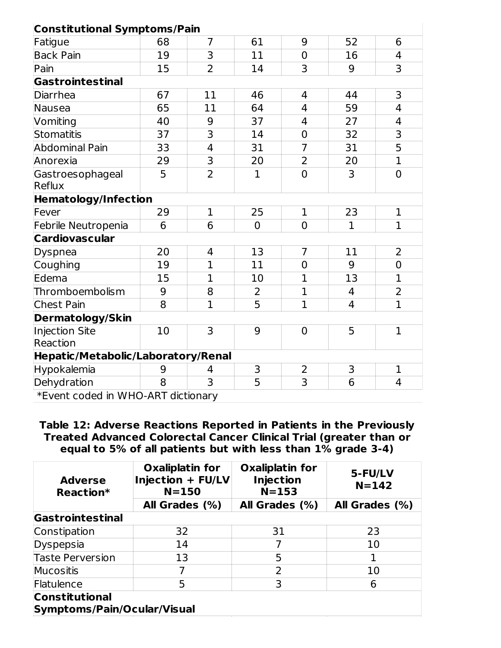#### **Constitutional Symptoms/Pain**

| <b>Constitutional Symptoms/Pain</b> |                |                |                |                |                |                         |
|-------------------------------------|----------------|----------------|----------------|----------------|----------------|-------------------------|
| Fatigue                             | 68             | $\overline{7}$ | 61             | 9              | 52             | 6                       |
| <b>Back Pain</b>                    | 19             | 3              | 11             | $\overline{0}$ | 16             | 4                       |
| Pain                                | 15             | $\overline{2}$ | 14             | 3              | 9              | 3                       |
| <b>Gastrointestinal</b>             |                |                |                |                |                |                         |
| Diarrhea                            | 67             | 11             | 46             | 4              | 44             | 3                       |
| Nausea                              | 65             | 11             | 64             | 4              | 59             | $\overline{4}$          |
| Vomiting                            | 40             | 9              | 37             | 4              | 27             | $\overline{4}$          |
| <b>Stomatitis</b>                   | 37             | $\overline{3}$ | 14             | $\overline{0}$ | 32             | $\overline{\mathbf{3}}$ |
| <b>Abdominal Pain</b>               | 33             | $\overline{4}$ | 31             | $\overline{7}$ | 31             | 5                       |
| Anorexia                            | 29             | 3              | 20             | $\overline{2}$ | 20             | $\mathbf{1}$            |
| Gastroesophageal<br>Reflux          | $\overline{5}$ | $\overline{2}$ | $\mathbf{1}$   | $\overline{0}$ | $\overline{3}$ | $\overline{0}$          |
| <b>Hematology/Infection</b>         |                |                |                |                |                |                         |
| Fever                               | 29             | $\mathbf{1}$   | 25             | $\mathbf{1}$   | 23             | $\mathbf{1}$            |
| Febrile Neutropenia                 | 6              | 6              | $\overline{0}$ | $\overline{0}$ | $\mathbf{1}$   | $\mathbf{1}$            |
| <b>Cardiovascular</b>               |                |                |                |                |                |                         |
| Dyspnea                             | 20             | 4              | 13             | 7              | 11             | 2                       |
| Coughing                            | 19             | $\mathbf{1}$   | 11             | $\overline{0}$ | 9              | $\overline{0}$          |
| Edema                               | 15             | $\overline{1}$ | 10             | $\mathbf{1}$   | 13             | $\overline{1}$          |
| Thromboembolism                     | 9              | 8              | 2              | $\overline{1}$ | $\overline{4}$ | 2                       |
| <b>Chest Pain</b>                   | 8              | $\overline{1}$ | 5              | $\mathbf{1}$   | 4              | $\mathbf{1}$            |
| <b>Dermatology/Skin</b>             |                |                |                |                |                |                         |
| <b>Injection Site</b>               | 10             | 3              | 9              | $\overline{0}$ | 5              | $\mathbf{1}$            |
| Reaction                            |                |                |                |                |                |                         |
| Hepatic/Metabolic/Laboratory/Renal  |                |                |                |                |                |                         |
| Hypokalemia                         | 9              | 4              | 3              | $\overline{2}$ | 3              | $\mathbf{1}$            |
| Dehydration                         | 8              | 3              | 5              | 3              | 6              | $\overline{4}$          |
| *Event coded in WHO-ART dictionary  |                |                |                |                |                |                         |

**Table 12: Adverse Reactions Reported in Patients in the Previously Treated Advanced Colorectal Cancer Clinical Trial (greater than or equal to 5% of all patients but with less than 1% grade 3-4)**

| <b>Adverse</b><br>Reaction*                          | <b>Oxaliplatin for</b><br>Injection + FU/LV<br>$N = 150$ | <b>Oxaliplatin for</b><br><b>Injection</b><br>$N = 153$ | 5-FU/LV<br>$N = 142$ |  |  |  |
|------------------------------------------------------|----------------------------------------------------------|---------------------------------------------------------|----------------------|--|--|--|
|                                                      | All Grades (%)                                           | All Grades (%)                                          | All Grades (%)       |  |  |  |
| Gastrointestinal                                     |                                                          |                                                         |                      |  |  |  |
| Constipation                                         | 32                                                       | 31                                                      | 23                   |  |  |  |
| Dyspepsia                                            | 14                                                       |                                                         | 10                   |  |  |  |
| <b>Taste Perversion</b>                              | 13                                                       | 5                                                       |                      |  |  |  |
| <b>Mucositis</b>                                     | 7                                                        | $\overline{2}$                                          | 10                   |  |  |  |
| Flatulence                                           | 5                                                        | 3                                                       | 6                    |  |  |  |
| <b>Constitutional</b><br>Symptoms/Pain/Ocular/Visual |                                                          |                                                         |                      |  |  |  |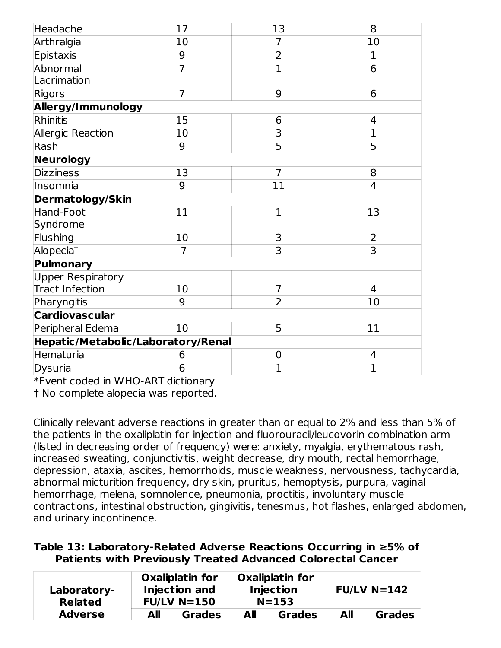| Headache                           | 17             | 13             | 8              |
|------------------------------------|----------------|----------------|----------------|
| Arthralgia                         | 10             | 7              | 10             |
| Epistaxis                          | 9              | $\overline{2}$ | $\mathbf{1}$   |
| Abnormal<br>Lacrimation            | $\overline{7}$ | $\overline{1}$ | 6              |
| Rigors                             | $\overline{7}$ | 9              | 6              |
| Allergy/Immunology                 |                |                |                |
| Rhinitis                           | 15             | 6              | 4              |
| Allergic Reaction                  | 10             | $\overline{3}$ | $\overline{1}$ |
| Rash                               | 9              | 5              | 5              |
| Neurology                          |                |                |                |
| <b>Dizziness</b>                   | 13             | $\overline{7}$ | 8              |
| Insomnia                           | 9              | 11             | 4              |
| <b>Dermatology/Skin</b>            |                |                |                |
| Hand-Foot                          | 11             | $\overline{1}$ | 13             |
| Syndrome                           |                |                |                |
| Flushing                           | 10             | 3              | $\overline{2}$ |
| Alopecia <sup>t</sup>              | 7              | 3              | 3              |
| Pulmonary                          |                |                |                |
| <b>Upper Respiratory</b>           |                |                |                |
| <b>Tract Infection</b>             | 10             | 7              | 4              |
| Pharyngitis                        | 9              | $\overline{2}$ | 10             |
| <b>Cardiovascular</b>              |                |                |                |
| Peripheral Edema                   | 10             | 5              | 11             |
| Hepatic/Metabolic/Laboratory/Renal |                |                |                |
| Hematuria                          | 6              | $\mathbf 0$    | 4              |
| Dysuria                            | 6              | $\overline{1}$ | $\overline{1}$ |
| *Event coded in WHO-ART dictionary |                |                |                |

† No complete alopecia was reported.

Clinically relevant adverse reactions in greater than or equal to 2% and less than 5% of the patients in the oxaliplatin for injection and fluorouracil/leucovorin combination arm (listed in decreasing order of frequency) were: anxiety, myalgia, erythematous rash, increased sweating, conjunctivitis, weight decrease, dry mouth, rectal hemorrhage, depression, ataxia, ascites, hemorrhoids, muscle weakness, nervousness, tachycardia, abnormal micturition frequency, dry skin, pruritus, hemoptysis, purpura, vaginal hemorrhage, melena, somnolence, pneumonia, proctitis, involuntary muscle contractions, intestinal obstruction, gingivitis, tenesmus, hot flashes, enlarged abdomen, and urinary incontinence.

### **Table 13: Laboratory-Related Adverse Reactions Occurring in ≥5% of Patients with Previously Treated Advanced Colorectal Cancer**

| Laboratory-<br><b>Related</b> |     | <b>Oxaliplatin for</b><br><b>Injection and</b><br>$FUVN=150$ |     | <b>Oxaliplatin for</b><br><b>Injection</b><br>$N = 153$ |     | $FUVN=142$ |
|-------------------------------|-----|--------------------------------------------------------------|-----|---------------------------------------------------------|-----|------------|
| <b>Adverse</b>                | All | <b>Grades</b>                                                | All | <b>Grades</b>                                           | All | Grades     |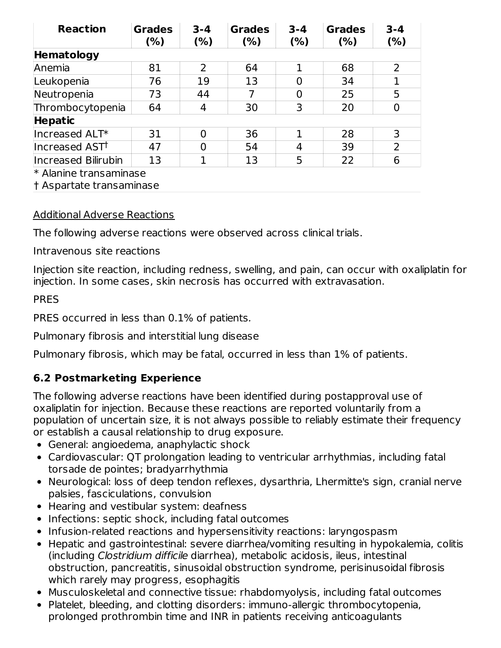| <b>Reaction</b>            | <b>Grades</b><br>(%) | $3 - 4$<br>(% ) | <b>Grades</b><br>$(\%)$ | $3 - 4$<br>(% ) | <b>Grades</b><br>(%) | $3 - 4$<br>(%) |
|----------------------------|----------------------|-----------------|-------------------------|-----------------|----------------------|----------------|
| Hematology                 |                      |                 |                         |                 |                      |                |
| Anemia                     | 81                   | $\overline{2}$  | 64                      |                 | 68                   | 2              |
| Leukopenia                 | 76                   | 19              | 13                      | ი               | 34                   | $\mathbf{1}$   |
| Neutropenia                | 73                   | 44              | 7                       | O               | 25                   | 5              |
| Thrombocytopenia           | 64                   | 4               | 30                      | 3               | 20                   | 0              |
| <b>Hepatic</b>             |                      |                 |                         |                 |                      |                |
| Increased ALT*             | 31                   | $\Omega$        | 36                      |                 | 28                   | 3              |
| Increased AST <sup>†</sup> | 47                   | 0               | 54                      | 4               | 39                   | $\overline{2}$ |
| Increased Bilirubin        | 13                   |                 | 13                      | 5               | 22                   | 6              |
| * Alanine transaminase     |                      |                 |                         |                 |                      |                |
| † Aspartate transaminase   |                      |                 |                         |                 |                      |                |

### Additional Adverse Reactions

The following adverse reactions were observed across clinical trials.

Intravenous site reactions

Injection site reaction, including redness, swelling, and pain, can occur with oxaliplatin for injection. In some cases, skin necrosis has occurred with extravasation.

### PRES

PRES occurred in less than 0.1% of patients.

Pulmonary fibrosis and interstitial lung disease

Pulmonary fibrosis, which may be fatal, occurred in less than 1% of patients.

# **6.2 Postmarketing Experience**

The following adverse reactions have been identified during postapproval use of oxaliplatin for injection. Because these reactions are reported voluntarily from a population of uncertain size, it is not always possible to reliably estimate their frequency or establish a causal relationship to drug exposure.

- General: angioedema, anaphylactic shock
- Cardiovascular: QT prolongation leading to ventricular arrhythmias, including fatal torsade de pointes; bradyarrhythmia
- Neurological: loss of deep tendon reflexes, dysarthria, Lhermitte's sign, cranial nerve palsies, fasciculations, convulsion
- Hearing and vestibular system: deafness
- Infections: septic shock, including fatal outcomes
- Infusion-related reactions and hypersensitivity reactions: laryngospasm
- Hepatic and gastrointestinal: severe diarrhea/vomiting resulting in hypokalemia, colitis (including Clostridium difficile diarrhea), metabolic acidosis, ileus, intestinal obstruction, pancreatitis, sinusoidal obstruction syndrome, perisinusoidal fibrosis which rarely may progress, esophagitis
- Musculoskeletal and connective tissue: rhabdomyolysis, including fatal outcomes
- Platelet, bleeding, and clotting disorders: immuno-allergic thrombocytopenia, prolonged prothrombin time and INR in patients receiving anticoagulants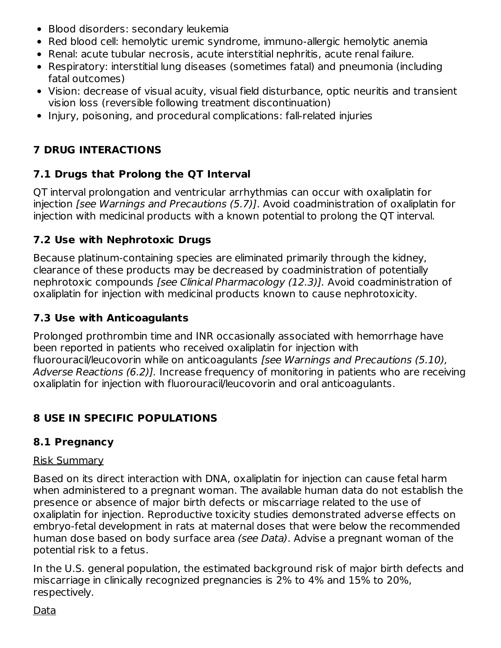- Blood disorders: secondary leukemia
- Red blood cell: hemolytic uremic syndrome, immuno-allergic hemolytic anemia
- Renal: acute tubular necrosis, acute interstitial nephritis, acute renal failure.
- Respiratory: interstitial lung diseases (sometimes fatal) and pneumonia (including fatal outcomes)
- Vision: decrease of visual acuity, visual field disturbance, optic neuritis and transient vision loss (reversible following treatment discontinuation)
- Injury, poisoning, and procedural complications: fall-related injuries

# **7 DRUG INTERACTIONS**

# **7.1 Drugs that Prolong the QT Interval**

QT interval prolongation and ventricular arrhythmias can occur with oxaliplatin for injection [see Warnings and Precautions (5.7)]. Avoid coadministration of oxaliplatin for injection with medicinal products with a known potential to prolong the QT interval.

# **7.2 Use with Nephrotoxic Drugs**

Because platinum-containing species are eliminated primarily through the kidney, clearance of these products may be decreased by coadministration of potentially nephrotoxic compounds [see Clinical Pharmacology (12.3)]. Avoid coadministration of oxaliplatin for injection with medicinal products known to cause nephrotoxicity.

# **7.3 Use with Anticoagulants**

Prolonged prothrombin time and INR occasionally associated with hemorrhage have been reported in patients who received oxaliplatin for injection with fluorouracil/leucovorin while on anticoagulants [see Warnings and Precautions (5.10), Adverse Reactions (6.2)]. Increase frequency of monitoring in patients who are receiving oxaliplatin for injection with fluorouracil/leucovorin and oral anticoagulants.

# **8 USE IN SPECIFIC POPULATIONS**

# **8.1 Pregnancy**

# Risk Summary

Based on its direct interaction with DNA, oxaliplatin for injection can cause fetal harm when administered to a pregnant woman. The available human data do not establish the presence or absence of major birth defects or miscarriage related to the use of oxaliplatin for injection. Reproductive toxicity studies demonstrated adverse effects on embryo-fetal development in rats at maternal doses that were below the recommended human dose based on body surface area (see Data). Advise a pregnant woman of the potential risk to a fetus.

In the U.S. general population, the estimated background risk of major birth defects and miscarriage in clinically recognized pregnancies is 2% to 4% and 15% to 20%, respectively.

Data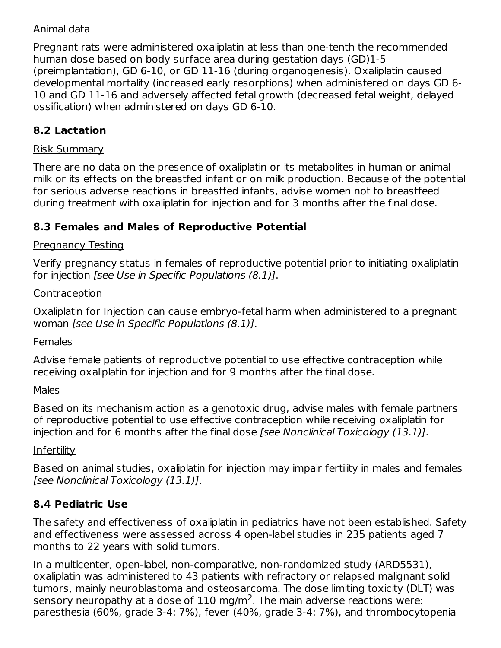# Animal data

Pregnant rats were administered oxaliplatin at less than one-tenth the recommended human dose based on body surface area during gestation days (GD)1-5 (preimplantation), GD 6-10, or GD 11-16 (during organogenesis). Oxaliplatin caused developmental mortality (increased early resorptions) when administered on days GD 6- 10 and GD 11-16 and adversely affected fetal growth (decreased fetal weight, delayed ossification) when administered on days GD 6-10.

# **8.2 Lactation**

#### Risk Summary

There are no data on the presence of oxaliplatin or its metabolites in human or animal milk or its effects on the breastfed infant or on milk production. Because of the potential for serious adverse reactions in breastfed infants, advise women not to breastfeed during treatment with oxaliplatin for injection and for 3 months after the final dose.

# **8.3 Females and Males of Reproductive Potential**

### Pregnancy Testing

Verify pregnancy status in females of reproductive potential prior to initiating oxaliplatin for injection [see Use in Specific Populations (8.1)].

#### Contraception

Oxaliplatin for Injection can cause embryo-fetal harm when administered to a pregnant woman [see Use in Specific Populations (8.1)].

### Females

Advise female patients of reproductive potential to use effective contraception while receiving oxaliplatin for injection and for 9 months after the final dose.

Males

Based on its mechanism action as a genotoxic drug, advise males with female partners of reproductive potential to use effective contraception while receiving oxaliplatin for injection and for 6 months after the final dose [see Nonclinical Toxicology (13.1)].

### **Infertility**

Based on animal studies, oxaliplatin for injection may impair fertility in males and females [see Nonclinical Toxicology (13.1)].

# **8.4 Pediatric Use**

The safety and effectiveness of oxaliplatin in pediatrics have not been established. Safety and effectiveness were assessed across 4 open-label studies in 235 patients aged 7 months to 22 years with solid tumors.

In a multicenter, open-label, non-comparative, non-randomized study (ARD5531), oxaliplatin was administered to 43 patients with refractory or relapsed malignant solid tumors, mainly neuroblastoma and osteosarcoma. The dose limiting toxicity (DLT) was sensory neuropathy at a dose of  $110 \text{ mg/m}^2$ . The main adverse reactions were: paresthesia (60%, grade 3-4: 7%), fever (40%, grade 3-4: 7%), and thrombocytopenia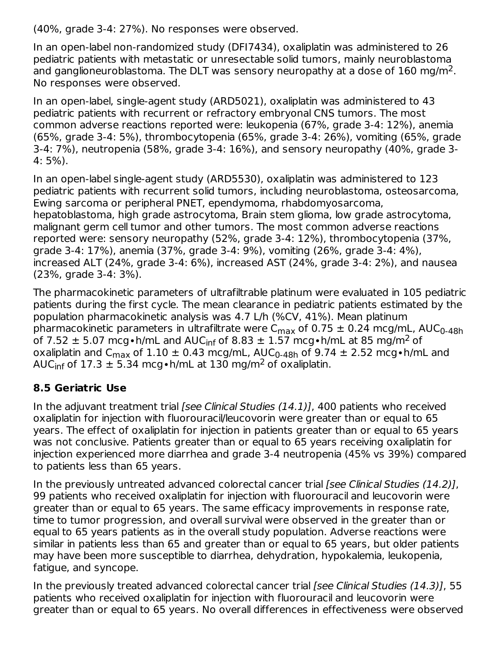(40%, grade 3-4: 27%). No responses were observed.

In an open-label non-randomized study (DFI7434), oxaliplatin was administered to 26 pediatric patients with metastatic or unresectable solid tumors, mainly neuroblastoma and ganglioneuroblastoma. The DLT was sensory neuropathy at a dose of  $160 \text{ mg/m}^2$ . No responses were observed.

In an open-label, single-agent study (ARD5021), oxaliplatin was administered to 43 pediatric patients with recurrent or refractory embryonal CNS tumors. The most common adverse reactions reported were: leukopenia (67%, grade 3-4: 12%), anemia (65%, grade 3-4: 5%), thrombocytopenia (65%, grade 3-4: 26%), vomiting (65%, grade 3-4: 7%), neutropenia (58%, grade 3-4: 16%), and sensory neuropathy (40%, grade 3- 4: 5%).

In an open-label single-agent study (ARD5530), oxaliplatin was administered to 123 pediatric patients with recurrent solid tumors, including neuroblastoma, osteosarcoma, Ewing sarcoma or peripheral PNET, ependymoma, rhabdomyosarcoma, hepatoblastoma, high grade astrocytoma, Brain stem glioma, low grade astrocytoma, malignant germ cell tumor and other tumors. The most common adverse reactions reported were: sensory neuropathy (52%, grade 3-4: 12%), thrombocytopenia (37%, grade 3-4: 17%), anemia (37%, grade 3-4: 9%), vomiting (26%, grade 3-4: 4%), increased ALT (24%, grade 3-4: 6%), increased AST (24%, grade 3-4: 2%), and nausea (23%, grade 3-4: 3%).

The pharmacokinetic parameters of ultrafiltrable platinum were evaluated in 105 pediatric patients during the first cycle. The mean clearance in pediatric patients estimated by the population pharmacokinetic analysis was 4.7 L/h (%CV, 41%). Mean platinum pharmacokinetic parameters in ultrafiltrate were C<sub>max</sub> of 0.75  $\pm$  0.24 mcg/mL, AUC<sub>0-48h</sub> of 7.52  $\pm$  5.07 mcg•h/mL and AUC<sub>inf</sub> of 8.83  $\pm$  1.57 mcg•h/mL at 85 mg/m<sup>2</sup> of oxaliplatin and C<sub>max</sub> of  $1.10 \pm 0.43$  mcg/mL, AUC $_{0\text{-}48\text{h}}$  of 9.74  $\pm$  2.52 mcg•h/mL and AUC<sub>inf</sub> of 17.3  $\pm$  5.34 mcg•h/mL at 130 mg/m<sup>2</sup> of oxaliplatin.

# **8.5 Geriatric Use**

In the adjuvant treatment trial *[see Clinical Studies (14.1)]*, 400 patients who received oxaliplatin for injection with fluorouracil/leucovorin were greater than or equal to 65 years. The effect of oxaliplatin for injection in patients greater than or equal to 65 years was not conclusive. Patients greater than or equal to 65 years receiving oxaliplatin for injection experienced more diarrhea and grade 3-4 neutropenia (45% vs 39%) compared to patients less than 65 years.

In the previously untreated advanced colorectal cancer trial (see Clinical Studies (14.2)], 99 patients who received oxaliplatin for injection with fluorouracil and leucovorin were greater than or equal to 65 years. The same efficacy improvements in response rate, time to tumor progression, and overall survival were observed in the greater than or equal to 65 years patients as in the overall study population. Adverse reactions were similar in patients less than 65 and greater than or equal to 65 years, but older patients may have been more susceptible to diarrhea, dehydration, hypokalemia, leukopenia, fatigue, and syncope.

In the previously treated advanced colorectal cancer trial (see Clinical Studies (14.3)], 55 patients who received oxaliplatin for injection with fluorouracil and leucovorin were greater than or equal to 65 years. No overall differences in effectiveness were observed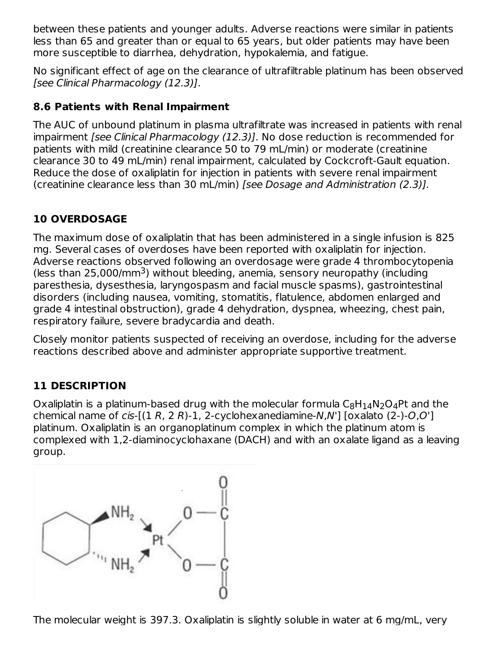between these patients and younger adults. Adverse reactions were similar in patients less than 65 and greater than or equal to 65 years, but older patients may have been more susceptible to diarrhea, dehydration, hypokalemia, and fatigue.

No significant effect of age on the clearance of ultrafiltrable platinum has been observed [see Clinical Pharmacology (12.3)].

# **8.6 Patients with Renal Impairment**

The AUC of unbound platinum in plasma ultrafiltrate was increased in patients with renal impairment [see Clinical Pharmacology (12.3)]. No dose reduction is recommended for patients with mild (creatinine clearance 50 to 79 mL/min) or moderate (creatinine clearance 30 to 49 mL/min) renal impairment, calculated by Cockcroft-Gault equation. Reduce the dose of oxaliplatin for injection in patients with severe renal impairment (creatinine clearance less than 30 mL/min) [see Dosage and Administration (2.3)].

# **10 OVERDOSAGE**

The maximum dose of oxaliplatin that has been administered in a single infusion is 825 mg. Several cases of overdoses have been reported with oxaliplatin for injection. Adverse reactions observed following an overdosage were grade 4 thrombocytopenia (less than  $25,000/\text{mm}^3$ ) without bleeding, anemia, sensory neuropathy (including paresthesia, dysesthesia, laryngospasm and facial muscle spasms), gastrointestinal disorders (including nausea, vomiting, stomatitis, flatulence, abdomen enlarged and grade 4 intestinal obstruction), grade 4 dehydration, dyspnea, wheezing, chest pain, respiratory failure, severe bradycardia and death.

Closely monitor patients suspected of receiving an overdose, including for the adverse reactions described above and administer appropriate supportive treatment.

# **11 DESCRIPTION**

Oxaliplatin is a platinum-based drug with the molecular formula  $\mathsf{C}_8\mathsf{H}_{14}\mathsf{N}_2\mathsf{O}_4$ Pt and the chemical name of  $cis$ - $[(1 R, 2 R)-1, 2-cyclohexanediamine-N,N']$  [oxalato  $(2)-O,O']$ ] platinum. Oxaliplatin is an organoplatinum complex in which the platinum atom is complexed with 1,2-diaminocyclohaxane (DACH) and with an oxalate ligand as a leaving group.



The molecular weight is 397.3. Oxaliplatin is slightly soluble in water at 6 mg/mL, very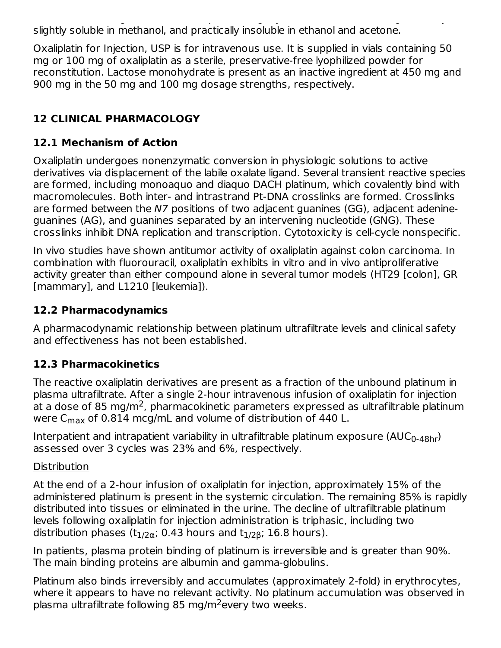The molecular weight is 397.3. Oxaliplatin is slightly soluble in water at 6 mg/mL, very slightly soluble in methanol, and practically insoluble in ethanol and acetone.

Oxaliplatin for Injection, USP is for intravenous use. It is supplied in vials containing 50 mg or 100 mg of oxaliplatin as a sterile, preservative-free lyophilized powder for reconstitution. Lactose monohydrate is present as an inactive ingredient at 450 mg and 900 mg in the 50 mg and 100 mg dosage strengths, respectively.

# **12 CLINICAL PHARMACOLOGY**

# **12.1 Mechanism of Action**

Oxaliplatin undergoes nonenzymatic conversion in physiologic solutions to active derivatives via displacement of the labile oxalate ligand. Several transient reactive species are formed, including monoaquo and diaquo DACH platinum, which covalently bind with macromolecules. Both inter- and intrastrand Pt-DNA crosslinks are formed. Crosslinks are formed between the N7 positions of two adjacent guanines (GG), adjacent adenineguanines (AG), and guanines separated by an intervening nucleotide (GNG). These crosslinks inhibit DNA replication and transcription. Cytotoxicity is cell-cycle nonspecific.

In vivo studies have shown antitumor activity of oxaliplatin against colon carcinoma. In combination with fluorouracil, oxaliplatin exhibits in vitro and in vivo antiproliferative activity greater than either compound alone in several tumor models (HT29 [colon], GR [mammary], and L1210 [leukemia]).

# **12.2 Pharmacodynamics**

A pharmacodynamic relationship between platinum ultrafiltrate levels and clinical safety and effectiveness has not been established.

# **12.3 Pharmacokinetics**

The reactive oxaliplatin derivatives are present as a fraction of the unbound platinum in plasma ultrafiltrate. After a single 2-hour intravenous infusion of oxaliplatin for injection at a dose of 85 mg/m<sup>2</sup>, pharmacokinetic parameters expressed as ultrafiltrable platinum were C $_{\sf max}$  of 0.814 mcg/mL and volume of distribution of 440 L.

Interpatient and intrapatient variability in ultrafiltrable platinum exposure (AUC $_{\rm 0\text{-}48hr}$ ) assessed over 3 cycles was 23% and 6%, respectively.

### **Distribution**

At the end of a 2-hour infusion of oxaliplatin for injection, approximately 15% of the administered platinum is present in the systemic circulation. The remaining 85% is rapidly distributed into tissues or eliminated in the urine. The decline of ultrafiltrable platinum levels following oxaliplatin for injection administration is triphasic, including two distribution phases (t $_{\rm 1/20}$ ; 0.43 hours and t $_{\rm 1/20}$ ; 16.8 hours).

In patients, plasma protein binding of platinum is irreversible and is greater than 90%. The main binding proteins are albumin and gamma-globulins.

Platinum also binds irreversibly and accumulates (approximately 2-fold) in erythrocytes, where it appears to have no relevant activity. No platinum accumulation was observed in plasma ultrafiltrate following 85 mg/m<sup>2</sup>every two weeks.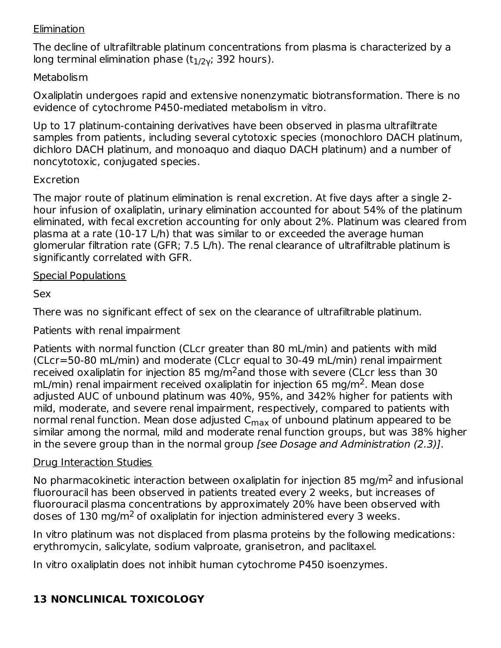### **Elimination**

The decline of ultrafiltrable platinum concentrations from plasma is characterized by a long terminal elimination phase (t $_{\rm 1/2}$ γ; 392 hours).

### **Metabolism**

Oxaliplatin undergoes rapid and extensive nonenzymatic biotransformation. There is no evidence of cytochrome P450-mediated metabolism in vitro.

Up to 17 platinum-containing derivatives have been observed in plasma ultrafiltrate samples from patients, including several cytotoxic species (monochloro DACH platinum, dichloro DACH platinum, and monoaquo and diaquo DACH platinum) and a number of noncytotoxic, conjugated species.

### Excretion

The major route of platinum elimination is renal excretion. At five days after a single 2 hour infusion of oxaliplatin, urinary elimination accounted for about 54% of the platinum eliminated, with fecal excretion accounting for only about 2%. Platinum was cleared from plasma at a rate (10-17 L/h) that was similar to or exceeded the average human glomerular filtration rate (GFR; 7.5 L/h). The renal clearance of ultrafiltrable platinum is significantly correlated with GFR.

# Special Populations

# Sex

There was no significant effect of sex on the clearance of ultrafiltrable platinum.

Patients with renal impairment

Patients with normal function (CLcr greater than 80 mL/min) and patients with mild (CLcr=50-80 mL/min) and moderate (CLcr equal to 30-49 mL/min) renal impairment received oxaliplatin for injection 85 mg/m $^2$ and those with severe (CLcr less than 30 mL/min) renal impairment received oxaliplatin for injection 65 mg/m<sup>2</sup>. Mean dose adjusted AUC of unbound platinum was 40%, 95%, and 342% higher for patients with mild, moderate, and severe renal impairment, respectively, compared to patients with normal renal function. Mean dose adjusted C<sub>max</sub> of unbound platinum appeared to be similar among the normal, mild and moderate renal function groups, but was 38% higher in the severe group than in the normal group [see Dosage and Administration (2.3)].

# Drug Interaction Studies

No pharmacokinetic interaction between oxaliplatin for injection 85 mg/m<sup>2</sup> and infusional fluorouracil has been observed in patients treated every 2 weeks, but increases of fluorouracil plasma concentrations by approximately 20% have been observed with doses of  $130 \text{ mg/m}^2$  of oxaliplatin for injection administered every 3 weeks.

In vitro platinum was not displaced from plasma proteins by the following medications: erythromycin, salicylate, sodium valproate, granisetron, and paclitaxel.

In vitro oxaliplatin does not inhibit human cytochrome P450 isoenzymes.

# **13 NONCLINICAL TOXICOLOGY**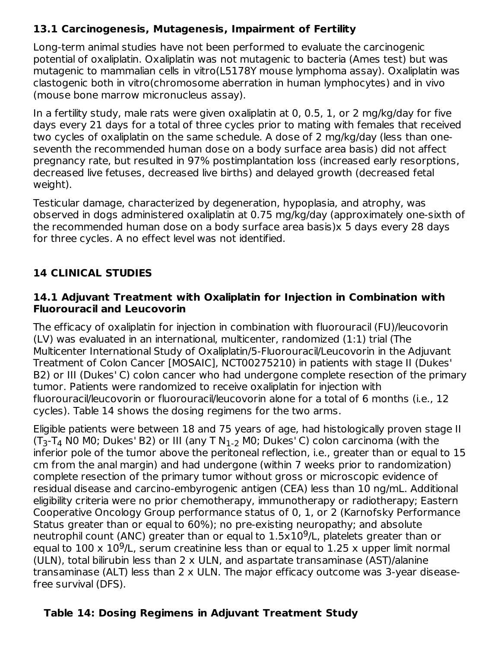# **13.1 Carcinogenesis, Mutagenesis, Impairment of Fertility**

Long-term animal studies have not been performed to evaluate the carcinogenic potential of oxaliplatin. Oxaliplatin was not mutagenic to bacteria (Ames test) but was mutagenic to mammalian cells in vitro(L5178Y mouse lymphoma assay). Oxaliplatin was clastogenic both in vitro(chromosome aberration in human lymphocytes) and in vivo (mouse bone marrow micronucleus assay).

In a fertility study, male rats were given oxaliplatin at 0, 0.5, 1, or 2 mg/kg/day for five days every 21 days for a total of three cycles prior to mating with females that received two cycles of oxaliplatin on the same schedule. A dose of 2 mg/kg/day (less than oneseventh the recommended human dose on a body surface area basis) did not affect pregnancy rate, but resulted in 97% postimplantation loss (increased early resorptions, decreased live fetuses, decreased live births) and delayed growth (decreased fetal weight).

Testicular damage, characterized by degeneration, hypoplasia, and atrophy, was observed in dogs administered oxaliplatin at 0.75 mg/kg/day (approximately one-sixth of the recommended human dose on a body surface area basis)x 5 days every 28 days for three cycles. A no effect level was not identified.

# **14 CLINICAL STUDIES**

### **14.1 Adjuvant Treatment with Oxaliplatin for Injection in Combination with Fluorouracil and Leucovorin**

The efficacy of oxaliplatin for injection in combination with fluorouracil (FU)/leucovorin (LV) was evaluated in an international, multicenter, randomized (1:1) trial (The Multicenter International Study of Oxaliplatin/5-Fluorouracil/Leucovorin in the Adjuvant Treatment of Colon Cancer [MOSAIC], NCT00275210) in patients with stage II (Dukes' B2) or III (Dukes' C) colon cancer who had undergone complete resection of the primary tumor. Patients were randomized to receive oxaliplatin for injection with fluorouracil/leucovorin or fluorouracil/leucovorin alone for a total of 6 months (i.e., 12 cycles). Table 14 shows the dosing regimens for the two arms.

Eligible patients were between 18 and 75 years of age, had histologically proven stage II  $(T_3-T_4$  N0 M0; Dukes' B2) or III (any T N<sub>1-2</sub> M0; Dukes' C) colon carcinoma (with the inferior pole of the tumor above the peritoneal reflection, i.e., greater than or equal to 15 cm from the anal margin) and had undergone (within 7 weeks prior to randomization) complete resection of the primary tumor without gross or microscopic evidence of residual disease and carcino-embyrogenic antigen (CEA) less than 10 ng/mL. Additional eligibility criteria were no prior chemotherapy, immunotherapy or radiotherapy; Eastern Cooperative Oncology Group performance status of 0, 1, or 2 (Karnofsky Performance Status greater than or equal to 60%); no pre-existing neuropathy; and absolute neutrophil count (ANC) greater than or equal to  $1.5 \times 10^9$ /L, platelets greater than or equal to  $100 \times 10^9$ /L, serum creatinine less than or equal to  $1.25$  x upper limit normal (ULN), total bilirubin less than 2 x ULN, and aspartate transaminase (AST)/alanine transaminase (ALT) less than 2 x ULN. The major efficacy outcome was 3-year diseasefree survival (DFS).

# **Table 14: Dosing Regimens in Adjuvant Treatment Study**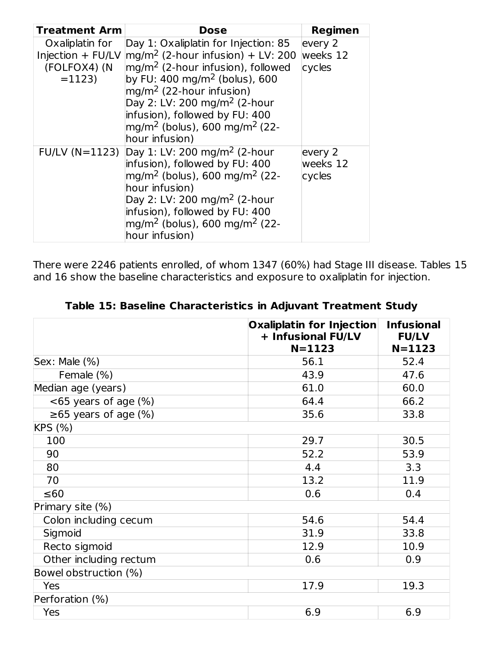| <b>Treatment Arm</b>                                            | Dose                                                                                                                                                                                                                                                                                                                                                                | Regimen                       |
|-----------------------------------------------------------------|---------------------------------------------------------------------------------------------------------------------------------------------------------------------------------------------------------------------------------------------------------------------------------------------------------------------------------------------------------------------|-------------------------------|
| Oxaliplatin for<br>Injection + FU/LV<br>(FOLFOX4) (N<br>$=1123$ | Day 1: Oxaliplatin for Injection: 85<br>$\rm [mg/m^2$ (2-hour infusion) + LV: 200<br>$\rm [mg/m^2$ (2-hour infusion), followed<br>by FU: 400 mg/m <sup>2</sup> (bolus), 600<br>$mq/m^2$ (22-hour infusion)<br>Day 2: LV: 200 mg/m <sup>2</sup> (2-hour<br>infusion), followed by FU: 400<br>mg/m <sup>2</sup> (bolus), 600 mg/m <sup>2</sup> (22-<br>hour infusion) | every 2<br>weeks 12<br>cycles |
| $FU/LV (N=1123)$                                                | Day 1: LV: 200 mg/m <sup>2</sup> (2-hour<br>infusion), followed by FU: 400<br>$mg/m2$ (bolus), 600 mg/m <sup>2</sup> (22-<br>hour infusion)<br>Day 2: LV: 200 mg/m <sup>2</sup> (2-hour<br>infusion), followed by FU: 400<br>$mg/m2$ (bolus), 600 mg/m <sup>2</sup> (22-<br>hour infusion)                                                                          | every 2<br>weeks 12<br>cycles |

There were 2246 patients enrolled, of whom 1347 (60%) had Stage III disease. Tables 15 and 16 show the baseline characteristics and exposure to oxaliplatin for injection.

| + Infusional FU/LV<br>$N = 1123$ | <b>Infusional</b><br><b>FU/LV</b><br>$N = 1123$ |
|----------------------------------|-------------------------------------------------|
| 56.1                             | 52.4                                            |
| 43.9                             | 47.6                                            |
| 61.0                             | 60.0                                            |
| 64.4                             | 66.2                                            |
| 35.6                             | 33.8                                            |
|                                  |                                                 |
| 29.7                             | 30.5                                            |
| 52.2                             | 53.9                                            |
| 4.4                              | 3.3                                             |
| 13.2                             | 11.9                                            |
| 0.6                              | 0.4                                             |
|                                  |                                                 |
| 54.6                             | 54.4                                            |
| 31.9                             | 33.8                                            |
| 12.9                             | 10.9                                            |
| 0.6                              | 0.9                                             |
|                                  |                                                 |
| 17.9                             | 19.3                                            |
|                                  |                                                 |
| 6.9                              | 6.9                                             |
|                                  | Oxaliplatin for Injection                       |

**Table 15: Baseline Characteristics in Adjuvant Treatment Study**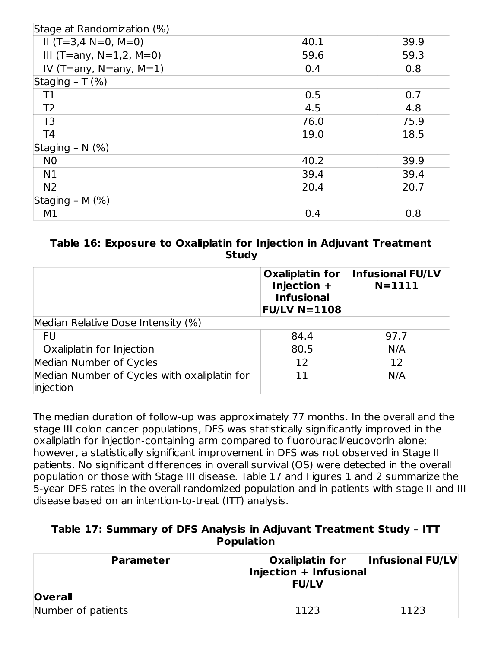| Stage at Randomization (%)    |      |      |
|-------------------------------|------|------|
| $II(T=3,4 N=0, M=0)$          | 40.1 | 39.9 |
| III (T=any, $N=1,2$ , $M=0$ ) | 59.6 | 59.3 |
| IV (T=any, $N=$ any, $M=1$ )  | 0.4  | 0.8  |
| Staging $- T$ (%)             |      |      |
| Τ1                            | 0.5  | 0.7  |
| T <sub>2</sub>                | 4.5  | 4.8  |
| T <sub>3</sub>                | 76.0 | 75.9 |
| T <sub>4</sub>                | 19.0 | 18.5 |
| Staging - $N$ (%)             |      |      |
| N <sub>0</sub>                | 40.2 | 39.9 |
| N1                            | 39.4 | 39.4 |
| N <sub>2</sub>                | 20.4 | 20.7 |
| Staging - $M$ (%)             |      |      |
| M1                            | 0.4  | 0.8  |

### **Table 16: Exposure to Oxaliplatin for Injection in Adjuvant Treatment Study**

|                                                           | <b>Oxaliplatin for</b><br>Injection +<br><b>Infusional</b><br><b>FU/LV N=1108</b> | <b>Infusional FU/LV</b><br>$N = 1111$ |
|-----------------------------------------------------------|-----------------------------------------------------------------------------------|---------------------------------------|
| Median Relative Dose Intensity (%)                        |                                                                                   |                                       |
| FU                                                        | 84.4                                                                              | 97.7                                  |
| Oxaliplatin for Injection                                 | 80.5                                                                              | N/A                                   |
| Median Number of Cycles                                   | 12                                                                                | 12                                    |
| Median Number of Cycles with oxaliplatin for<br>injection | 11                                                                                | N/A                                   |

The median duration of follow-up was approximately 77 months. In the overall and the stage III colon cancer populations, DFS was statistically significantly improved in the oxaliplatin for injection-containing arm compared to fluorouracil/leucovorin alone; however, a statistically significant improvement in DFS was not observed in Stage II patients. No significant differences in overall survival (OS) were detected in the overall population or those with Stage III disease. Table 17 and Figures 1 and 2 summarize the 5-year DFS rates in the overall randomized population and in patients with stage II and III disease based on an intention-to-treat (ITT) analysis.

#### **Table 17: Summary of DFS Analysis in Adjuvant Treatment Study – ITT Population**

| <b>Parameter</b>   | Oxaliplatin for<br>Injection + Infusional<br><b>FU/LV</b> | <b>Infusional FU/LV</b> |  |
|--------------------|-----------------------------------------------------------|-------------------------|--|
| <b>Overall</b>     |                                                           |                         |  |
| Number of patients | 1123                                                      | 1123                    |  |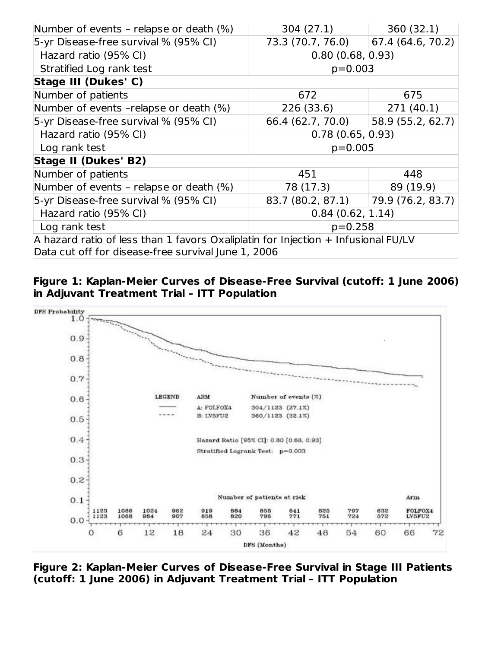| Number of events - relapse or death (%) | 304(27.1)                                                                         | 360(32.1)         |  |  |
|-----------------------------------------|-----------------------------------------------------------------------------------|-------------------|--|--|
| 5-yr Disease-free survival % (95% CI)   | 73.3 (70.7, 76.0)                                                                 | 67.4 (64.6, 70.2) |  |  |
| Hazard ratio (95% CI)                   | 0.80(0.68, 0.93)                                                                  |                   |  |  |
| Stratified Log rank test                | $p=0.003$                                                                         |                   |  |  |
| Stage III (Dukes' C)                    |                                                                                   |                   |  |  |
| Number of patients                      | 672                                                                               | 675               |  |  |
| Number of events -relapse or death (%)  | 226 (33.6)                                                                        | 271(40.1)         |  |  |
| 5-yr Disease-free survival % (95% CI)   | 66.4 (62.7, 70.0)                                                                 | 58.9 (55.2, 62.7) |  |  |
| Hazard ratio (95% CI)                   | 0.78(0.65, 0.93)                                                                  |                   |  |  |
| Log rank test                           | $p=0.005$                                                                         |                   |  |  |
| <b>Stage II (Dukes' B2)</b>             |                                                                                   |                   |  |  |
| Number of patients                      | 451                                                                               | 448               |  |  |
| Number of events - relapse or death (%) | 78 (17.3)                                                                         | 89 (19.9)         |  |  |
| 5-yr Disease-free survival % (95% CI)   | 83.7 (80.2, 87.1)                                                                 | 79.9 (76.2, 83.7) |  |  |
| Hazard ratio (95% CI)                   | 0.84(0.62, 1.14)                                                                  |                   |  |  |
| Log rank test                           | $p=0.258$                                                                         |                   |  |  |
|                                         | A hazard ratio of less than 1 favors Oxaliplatin for Injection + Infusional FU/LV |                   |  |  |

Data cut off for disease-free survival June 1, 2006





**Figure 2: Kaplan-Meier Curves of Disease-Free Survival in Stage III Patients (cutoff: 1 June 2006) in Adjuvant Treatment Trial – ITT Population**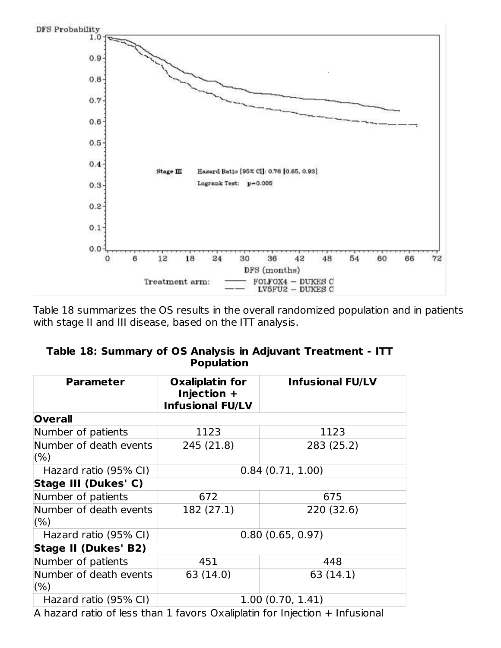

Table 18 summarizes the OS results in the overall randomized population and in patients with stage II and III disease, based on the ITT analysis.

| Table 18: Summary of OS Analysis in Adjuvant Treatment - ITT |  |
|--------------------------------------------------------------|--|
| <b>Population</b>                                            |  |

| <b>Parameter</b>               | <b>Oxaliplatin for</b><br>Injection +<br><b>Infusional FU/LV</b> | <b>Infusional FU/LV</b> |  |
|--------------------------------|------------------------------------------------------------------|-------------------------|--|
| <b>Overall</b>                 |                                                                  |                         |  |
| Number of patients             | 1123                                                             | 1123                    |  |
| Number of death events         | 245 (21.8)                                                       | 283 (25.2)              |  |
| (%)                            |                                                                  |                         |  |
| Hazard ratio (95% CI)          | 0.84(0.71, 1.00)                                                 |                         |  |
| Stage III (Dukes' C)           |                                                                  |                         |  |
| Number of patients             | 672                                                              | 675                     |  |
| Number of death events<br>(% ) | 182 (27.1)                                                       | 220 (32.6)              |  |
| Hazard ratio (95% CI)          | 0.80(0.65, 0.97)                                                 |                         |  |
| <b>Stage II (Dukes' B2)</b>    |                                                                  |                         |  |
| Number of patients             | 451                                                              | 448                     |  |
| Number of death events<br>(% ) | 63 (14.0)                                                        | 63 (14.1)               |  |
| Hazard ratio (95% CI)          |                                                                  | 1.00(0.70, 1.41)        |  |

A hazard ratio of less than 1 favors Oxaliplatin for Injection + Infusional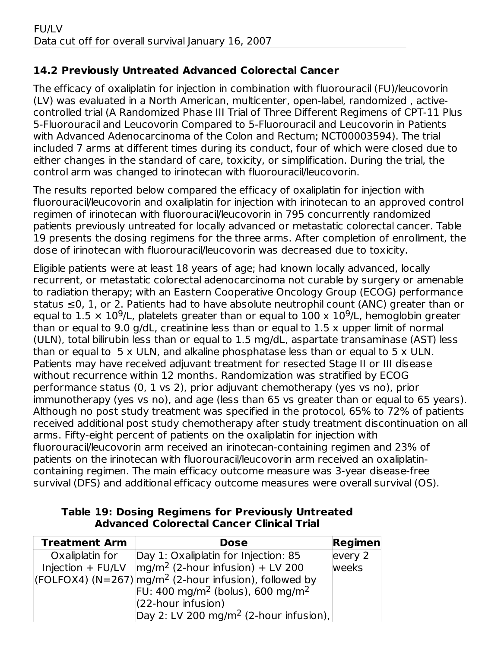# **14.2 Previously Untreated Advanced Colorectal Cancer**

The efficacy of oxaliplatin for injection in combination with fluorouracil (FU)/leucovorin (LV) was evaluated in a North American, multicenter, open-label, randomized , activecontrolled trial (A Randomized Phase III Trial of Three Different Regimens of CPT-11 Plus 5-Fluorouracil and Leucovorin Compared to 5-Fluorouracil and Leucovorin in Patients with Advanced Adenocarcinoma of the Colon and Rectum; NCT00003594). The trial included 7 arms at different times during its conduct, four of which were closed due to either changes in the standard of care, toxicity, or simplification. During the trial, the control arm was changed to irinotecan with fluorouracil/leucovorin.

The results reported below compared the efficacy of oxaliplatin for injection with fluorouracil/leucovorin and oxaliplatin for injection with irinotecan to an approved control regimen of irinotecan with fluorouracil/leucovorin in 795 concurrently randomized patients previously untreated for locally advanced or metastatic colorectal cancer. Table 19 presents the dosing regimens for the three arms. After completion of enrollment, the dose of irinotecan with fluorouracil/leucovorin was decreased due to toxicity.

Eligible patients were at least 18 years of age; had known locally advanced, locally recurrent, or metastatic colorectal adenocarcinoma not curable by surgery or amenable to radiation therapy; with an Eastern Cooperative Oncology Group (ECOG) performance status ≤0, 1, or 2. Patients had to have absolute neutrophil count (ANC) greater than or equal to 1.5  $\times$  10<sup>9</sup>/L, platelets greater than or equal to 100 x 10<sup>9</sup>/L, hemoglobin greater than or equal to 9.0 g/dL, creatinine less than or equal to 1.5 x upper limit of normal (ULN), total bilirubin less than or equal to 1.5 mg/dL, aspartate transaminase (AST) less than or equal to 5 x ULN, and alkaline phosphatase less than or equal to 5 x ULN. Patients may have received adjuvant treatment for resected Stage II or III disease without recurrence within 12 months. Randomization was stratified by ECOG performance status (0, 1 vs 2), prior adjuvant chemotherapy (yes vs no), prior immunotherapy (yes vs no), and age (less than 65 vs greater than or equal to 65 years). Although no post study treatment was specified in the protocol, 65% to 72% of patients received additional post study chemotherapy after study treatment discontinuation on all arms. Fifty-eight percent of patients on the oxaliplatin for injection with fluorouracil/leucovorin arm received an irinotecan-containing regimen and 23% of patients on the irinotecan with fluorouracil/leucovorin arm received an oxaliplatincontaining regimen. The main efficacy outcome measure was 3-year disease-free survival (DFS) and additional efficacy outcome measures were overall survival (OS).

| <b>Treatment Arm</b> | <b>Dose</b>                                                   | Regimen |
|----------------------|---------------------------------------------------------------|---------|
| Oxaliplatin for      | Day 1: Oxaliplatin for Injection: 85                          | every 2 |
|                      | Injection + FU/LV $\frac{mq}{m^2}$ (2-hour infusion) + LV 200 | weeks   |
|                      | $ (FOLFOX4)(N=267) mg/m2$ (2-hour infusion), followed by      |         |
|                      | FU: 400 mg/m <sup>2</sup> (bolus), 600 mg/m <sup>2</sup>      |         |
|                      | $(22$ -hour infusion)                                         |         |
|                      | Day 2: LV 200 mg/m <sup>2</sup> (2-hour infusion),            |         |

#### **Table 19: Dosing Regimens for Previously Untreated Advanced Colorectal Cancer Clinical Trial**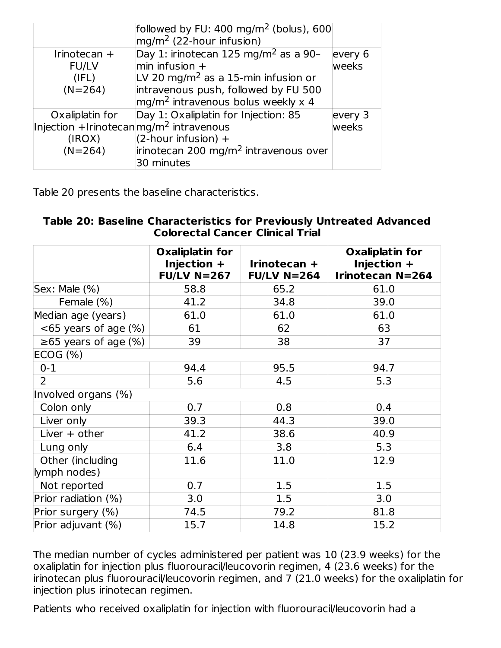|                                                    | followed by FU: $400 \text{ mg/m}^2$ (bolus), 600<br>$mg/m2$ (22-hour infusion) |         |
|----------------------------------------------------|---------------------------------------------------------------------------------|---------|
| Irinotecan +                                       | Day 1: irinotecan 125 mg/m <sup>2</sup> as a 90-                                | every 6 |
| <b>FU/LV</b>                                       | $min$ infusion $+$                                                              | weeks   |
| (IFL)                                              | LV 20 mg/m <sup>2</sup> as a 15-min infusion or                                 |         |
| $(N=264)$                                          | intravenous push, followed by FU 500                                            |         |
|                                                    | $mg/m2$ intravenous bolus weekly x 4                                            |         |
| Oxaliplatin for                                    | Day 1: Oxaliplatin for Injection: 85                                            | every 3 |
| Injection +Irinotecanmg/m <sup>2</sup> intravenous |                                                                                 | weeks   |
| (IROX)                                             | $(2$ -hour infusion) +                                                          |         |
| $(N=264)$                                          | irinotecan 200 mg/m <sup>2</sup> intravenous over                               |         |
|                                                    | 30 minutes                                                                      |         |

Table 20 presents the baseline characteristics.

#### **Table 20: Baseline Characteristics for Previously Untreated Advanced Colorectal Cancer Clinical Trial**

|                                  | <b>Oxaliplatin for</b><br>Injection $+$<br><b>FU/LV N=267</b> | Irinotecan +<br>$FU/LV N=264$ | <b>Oxaliplatin for</b><br>Injection $+$<br><b>Irinotecan N=264</b> |
|----------------------------------|---------------------------------------------------------------|-------------------------------|--------------------------------------------------------------------|
| Sex: Male (%)                    | 58.8                                                          | 65.2                          | 61.0                                                               |
| Female (%)                       | 41.2                                                          | 34.8                          | 39.0                                                               |
| Median age (years)               | 61.0                                                          | 61.0                          | 61.0                                                               |
| $<$ 65 years of age $(\%)$       | 61                                                            | 62                            | 63                                                                 |
| $\geq 65$ years of age (%)       | 39                                                            | 38                            | 37                                                                 |
| ECOG (%)                         |                                                               |                               |                                                                    |
| $0 - 1$                          | 94.4                                                          | 95.5                          | 94.7                                                               |
| $\overline{2}$                   | 5.6                                                           | 4.5                           | 5.3                                                                |
| Involved organs (%)              |                                                               |                               |                                                                    |
| Colon only                       | 0.7                                                           | 0.8                           | 0.4                                                                |
| Liver only                       | 39.3                                                          | 44.3                          | 39.0                                                               |
| Liver $+$ other                  | 41.2                                                          | 38.6                          | 40.9                                                               |
| Lung only                        | 6.4                                                           | 3.8                           | 5.3                                                                |
| Other (including<br>lymph nodes) | 11.6                                                          | 11.0                          | 12.9                                                               |
| Not reported                     | 0.7                                                           | 1.5                           | 1.5                                                                |
| Prior radiation (%)              | 3.0                                                           | 1.5                           | 3.0                                                                |
| Prior surgery (%)                | 74.5                                                          | 79.2                          | 81.8                                                               |
| Prior adjuvant (%)               | 15.7                                                          | 14.8                          | 15.2                                                               |

The median number of cycles administered per patient was 10 (23.9 weeks) for the oxaliplatin for injection plus fluorouracil/leucovorin regimen, 4 (23.6 weeks) for the irinotecan plus fluorouracil/leucovorin regimen, and  $\overline{7}$  (21.0 weeks) for the oxaliplatin for injection plus irinotecan regimen.

Patients who received oxaliplatin for injection with fluorouracil/leucovorin had a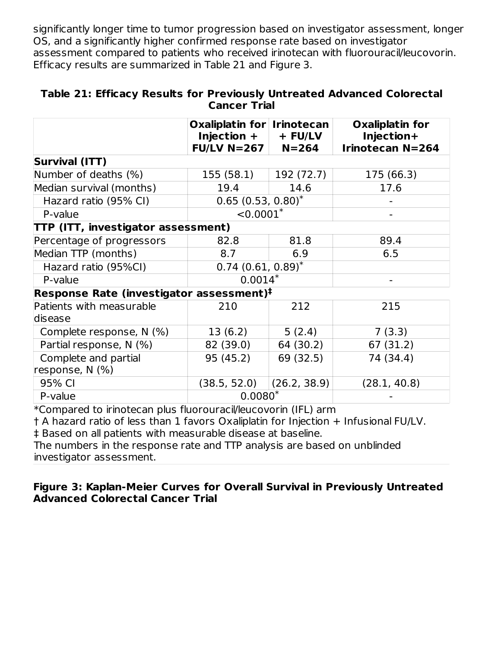significantly longer time to tumor progression based on investigator assessment, longer OS, and a significantly higher confirmed response rate based on investigator assessment compared to patients who received irinotecan with fluorouracil/leucovorin. Efficacy results are summarized in Table 21 and Figure 3.

|                                                      | Oxaliplatin for Irinotecan<br>Injection +<br>FU/LV N=267 | $+$ FU/LV<br>$N = 264$ | <b>Oxaliplatin for</b><br>Injection+<br><b>Irinotecan N=264</b> |  |
|------------------------------------------------------|----------------------------------------------------------|------------------------|-----------------------------------------------------------------|--|
| <b>Survival (ITT)</b>                                |                                                          |                        |                                                                 |  |
| Number of deaths (%)                                 | 155(58.1)                                                | 192 (72.7)             | 175 (66.3)                                                      |  |
| Median survival (months)                             | 19.4                                                     | 14.6                   | 17.6                                                            |  |
| Hazard ratio (95% CI)                                | $0.65(0.53, 0.80)^{*}$                                   |                        |                                                                 |  |
| P-value                                              | $< 0.0001$ *                                             |                        |                                                                 |  |
| <b>TTP (ITT, investigator assessment)</b>            |                                                          |                        |                                                                 |  |
| Percentage of progressors                            | 82.8                                                     | 81.8                   | 89.4                                                            |  |
| Median TTP (months)                                  | 8.7                                                      | 6.9                    | 6.5                                                             |  |
| Hazard ratio (95%CI)                                 | $0.74$ (0.61, 0.89) <sup>*</sup>                         |                        |                                                                 |  |
| P-value                                              | $0.0014*$                                                |                        |                                                                 |  |
| Response Rate (investigator assessment) <sup>‡</sup> |                                                          |                        |                                                                 |  |
| Patients with measurable<br>disease                  | 210                                                      | 212                    | 215                                                             |  |
| Complete response, N (%)                             | 13(6.2)                                                  | 5(2.4)                 | 7(3.3)                                                          |  |
| Partial response, N (%)                              | 82 (39.0)                                                | 64 (30.2)              | 67 (31.2)                                                       |  |
| Complete and partial<br>response, N (%)              | 95 (45.2)                                                | 69 (32.5)              | 74 (34.4)                                                       |  |
| 95% CI                                               | (38.5, 52.0)                                             | (26.2, 38.9)           | (28.1, 40.8)                                                    |  |
| P-value                                              | $0.0080*$                                                |                        |                                                                 |  |

#### **Table 21: Efficacy Results for Previously Untreated Advanced Colorectal Cancer Trial**

\*Compared to irinotecan plus fluorouracil/leucovorin (IFL) arm

† A hazard ratio of less than 1 favors Oxaliplatin for Injection + Infusional FU/LV. ‡ Based on all patients with measurable disease at baseline.

The numbers in the response rate and TTP analysis are based on unblinded investigator assessment.

### **Figure 3: Kaplan-Meier Curves for Overall Survival in Previously Untreated Advanced Colorectal Cancer Trial**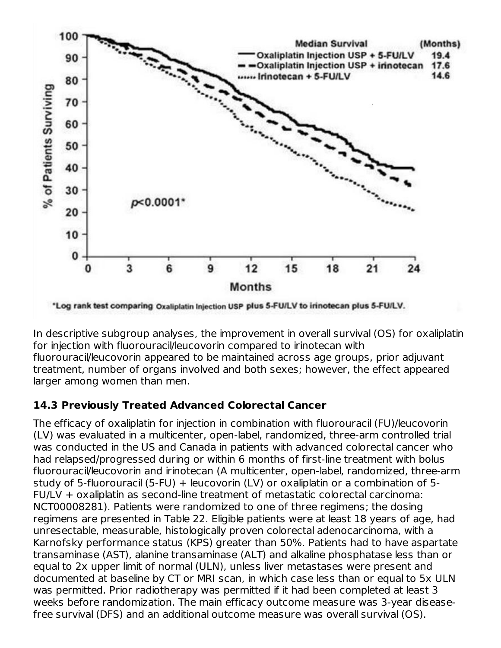

In descriptive subgroup analyses, the improvement in overall survival (OS) for oxaliplatin for injection with fluorouracil/leucovorin compared to irinotecan with fluorouracil/leucovorin appeared to be maintained across age groups, prior adjuvant treatment, number of organs involved and both sexes; however, the effect appeared larger among women than men.

# **14.3 Previously Treated Advanced Colorectal Cancer**

The efficacy of oxaliplatin for injection in combination with fluorouracil (FU)/leucovorin (LV) was evaluated in a multicenter, open-label, randomized, three-arm controlled trial was conducted in the US and Canada in patients with advanced colorectal cancer who had relapsed/progressed during or within 6 months of first-line treatment with bolus fluorouracil/leucovorin and irinotecan (A multicenter, open-label, randomized, three-arm study of 5-fluorouracil (5-FU) + leucovorin (LV) or oxaliplatin or a combination of 5- FU/LV + oxaliplatin as second-line treatment of metastatic colorectal carcinoma: NCT00008281). Patients were randomized to one of three regimens; the dosing regimens are presented in Table 22. Eligible patients were at least 18 years of age, had unresectable, measurable, histologically proven colorectal adenocarcinoma, with a Karnofsky performance status (KPS) greater than 50%. Patients had to have aspartate transaminase (AST), alanine transaminase (ALT) and alkaline phosphatase less than or equal to 2x upper limit of normal (ULN), unless liver metastases were present and documented at baseline by CT or MRI scan, in which case less than or equal to 5x ULN was permitted. Prior radiotherapy was permitted if it had been completed at least 3 weeks before randomization. The main efficacy outcome measure was 3-year diseasefree survival (DFS) and an additional outcome measure was overall survival (OS).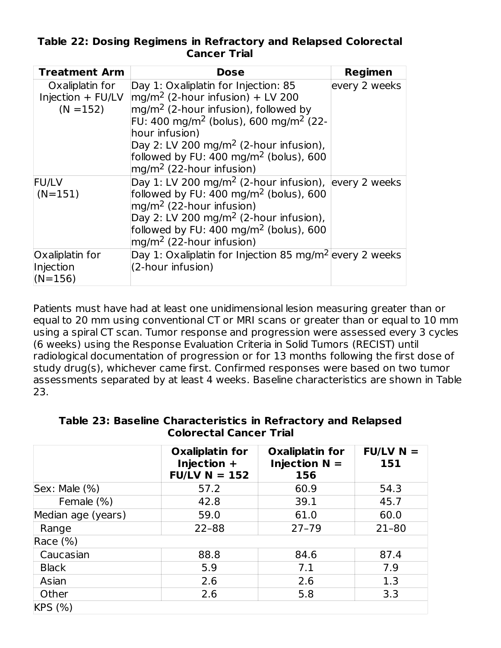| Table 22: Dosing Regimens in Refractory and Relapsed Colorectal |  |                     |  |  |
|-----------------------------------------------------------------|--|---------------------|--|--|
|                                                                 |  | <b>Cancer Trial</b> |  |  |

| <b>Treatment Arm</b>                                | <b>Dose</b>                                                                                                                                                                                                                                                                                                                                      | <b>Regimen</b> |
|-----------------------------------------------------|--------------------------------------------------------------------------------------------------------------------------------------------------------------------------------------------------------------------------------------------------------------------------------------------------------------------------------------------------|----------------|
| Oxaliplatin for<br>Injection + FU/LV<br>$(N = 152)$ | Day 1: Oxaliplatin for Injection: 85<br>$mg/m2$ (2-hour infusion) + LV 200<br>$mg/m2$ (2-hour infusion), followed by<br>FU: 400 mg/m <sup>2</sup> (bolus), 600 mg/m <sup>2</sup> (22-<br>hour infusion)<br>Day 2: LV 200 mg/m <sup>2</sup> (2-hour infusion),<br>followed by FU: $400 \text{ mg/m}^2$ (bolus), 600<br>$mg/m2$ (22-hour infusion) | every 2 weeks  |
| <b>FU/LV</b><br>$(N=151)$                           | Day 1: LV 200 mg/m <sup>2</sup> (2-hour infusion), every 2 weeks<br>followed by FU: $400 \text{ mg/m}^2$ (bolus), 600<br>$mg/m2$ (22-hour infusion)<br>Day 2: LV 200 mg/m <sup>2</sup> (2-hour infusion),<br>followed by FU: $400 \text{ mg/m}^2$ (bolus), 600<br>$mg/m2$ (22-hour infusion)                                                     |                |
| Oxaliplatin for<br>Injection<br>$(N=156)$           | Day 1: Oxaliplatin for Injection 85 mg/m <sup>2</sup> every 2 weeks<br>(2-hour infusion)                                                                                                                                                                                                                                                         |                |

Patients must have had at least one unidimensional lesion measuring greater than or equal to 20 mm using conventional CT or MRI scans or greater than or equal to 10 mm using a spiral CT scan. Tumor response and progression were assessed every 3 cycles (6 weeks) using the Response Evaluation Criteria in Solid Tumors (RECIST) until radiological documentation of progression or for 13 months following the first dose of study drug(s), whichever came first. Confirmed responses were based on two tumor assessments separated by at least 4 weeks. Baseline characteristics are shown in Table 23.

|                      | <b>Oxaliplatin for</b><br>Injection $+$<br>$FU/LV N = 152$ | <b>Oxaliplatin for</b><br>Injection $N =$<br>156 | $FU/LV N =$<br>151 |
|----------------------|------------------------------------------------------------|--------------------------------------------------|--------------------|
| $ $ Sex: Male $(\%)$ | 57.2                                                       | 60.9                                             | 54.3               |
| Female (%)           | 42.8                                                       | 39.1                                             | 45.7               |
| Median age (years)   | 59.0                                                       | 61.0                                             | 60.0               |
| Range                | $22 - 88$                                                  | $27 - 79$                                        | $21 - 80$          |
| Race (%)             |                                                            |                                                  |                    |
| Caucasian            | 88.8                                                       | 84.6                                             | 87.4               |
| <b>Black</b>         | 5.9                                                        | 7.1                                              | 7.9                |
| Asian                | 2.6                                                        | 2.6                                              | 1.3                |
| Other                | 2.6                                                        | 5.8                                              | 3.3                |
| KPS (%)              |                                                            |                                                  |                    |

**Table 23: Baseline Characteristics in Refractory and Relapsed Colorectal Cancer Trial**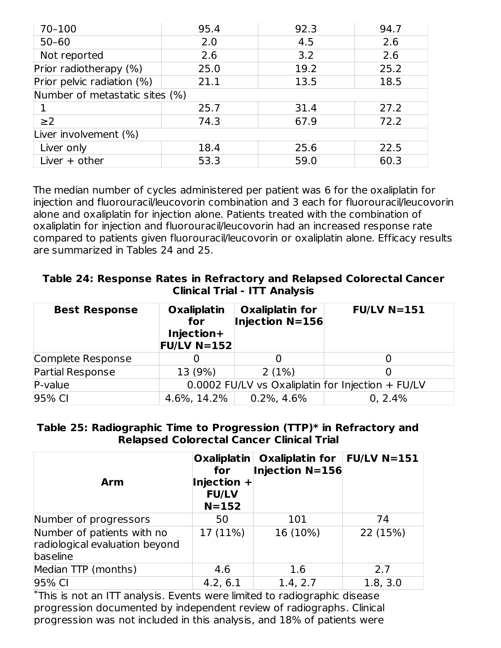| 70-100                         | 95.4 | 92.3 | 94.7 |  |  |
|--------------------------------|------|------|------|--|--|
| $50 - 60$                      | 2.0  | 4.5  | 2.6  |  |  |
| Not reported                   | 2.6  | 3.2  | 2.6  |  |  |
| Prior radiotherapy (%)         | 25.0 | 19.2 | 25.2 |  |  |
| Prior pelvic radiation (%)     | 21.1 | 13.5 | 18.5 |  |  |
| Number of metastatic sites (%) |      |      |      |  |  |
|                                | 25.7 | 31.4 | 27.2 |  |  |
| $\geq$ 2                       | 74.3 | 67.9 | 72.2 |  |  |
| Liver involvement (%)          |      |      |      |  |  |
| Liver only                     | 18.4 | 25.6 | 22.5 |  |  |
| Liver $+$ other                | 53.3 | 59.0 | 60.3 |  |  |

The median number of cycles administered per patient was 6 for the oxaliplatin for injection and fluorouracil/leucovorin combination and 3 each for fluorouracil/leucovorin alone and oxaliplatin for injection alone. Patients treated with the combination of oxaliplatin for injection and fluorouracil/leucovorin had an increased response rate compared to patients given fluorouracil/leucovorin or oxaliplatin alone. Efficacy results are summarized in Tables 24 and 25.

**Table 24: Response Rates in Refractory and Relapsed Colorectal Cancer Clinical Trial - ITT Analysis**

| <b>Best Response</b> | <b>Oxaliplatin</b><br>for<br>Injection+<br><b>FU/LV N=152</b> | <b>Oxaliplatin for</b><br><b>Injection N=156</b> | $FU/LV$ N=151 |  |  |
|----------------------|---------------------------------------------------------------|--------------------------------------------------|---------------|--|--|
| Complete Response    |                                                               |                                                  |               |  |  |
| Partial Response     | 13 (9%)                                                       | 2(1%)                                            |               |  |  |
| $P-value$            | 0.0002 FU/LV vs Oxaliplatin for Injection + FU/LV             |                                                  |               |  |  |
| 95% CI               | 4.6%, 14.2%                                                   | $0.2\%$ , 4.6%                                   | 0, 2.4%       |  |  |

#### **Table 25: Radiographic Time to Progression (TTP)\* in Refractory and Relapsed Colorectal Cancer Clinical Trial**

| Arm                                                                      | for<br>Injection $+$<br><b>FU/LV</b><br>$N = 152$ | Oxaliplatin   Oxaliplatin for<br><b>Injection N=156</b> | $FU/LV$ N=151 |
|--------------------------------------------------------------------------|---------------------------------------------------|---------------------------------------------------------|---------------|
| Number of progressors                                                    | 50                                                | 101                                                     | 74            |
| Number of patients with no<br>radiological evaluation beyond<br>baseline | 17 (11%)                                          | 16 (10%)                                                | 22 (15%)      |
| Median TTP (months)                                                      | 4.6                                               | 1.6                                                     | 2.7           |
| 95% CI                                                                   | 4.2, 6.1                                          | 1.4, 2.7                                                | 1.8, 3.0      |

This is not an ITT analysis. Events were limited to radiographic disease \*progression documented by independent review of radiographs. Clinical progression was not included in this analysis, and 18% of patients were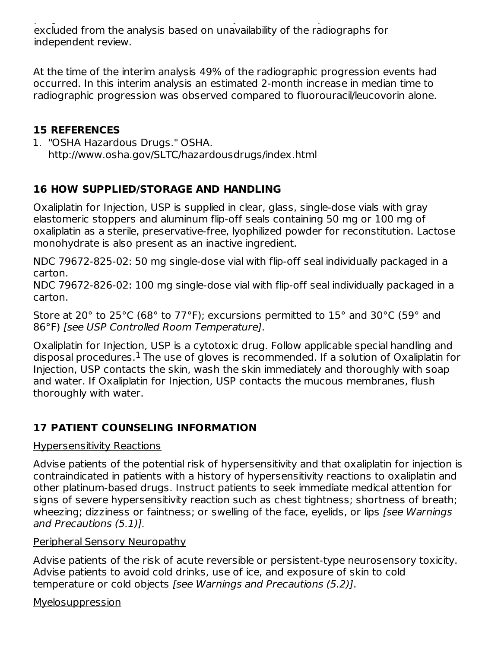At the time of the interim analysis 49% of the radiographic progression events had occurred. In this interim analysis an estimated 2-month increase in median time to radiographic progression was observed compared to fluorouracil/leucovorin alone.

# **15 REFERENCES**

1. "OSHA Hazardous Drugs." OSHA. http://www.osha.gov/SLTC/hazardousdrugs/index.html

# **16 HOW SUPPLIED/STORAGE AND HANDLING**

Oxaliplatin for Injection, USP is supplied in clear, glass, single-dose vials with gray elastomeric stoppers and aluminum flip-off seals containing 50 mg or 100 mg of oxaliplatin as a sterile, preservative-free, lyophilized powder for reconstitution. Lactose monohydrate is also present as an inactive ingredient.

NDC 79672-825-02: 50 mg single-dose vial with flip-off seal individually packaged in a carton.

NDC 79672-826-02: 100 mg single-dose vial with flip-off seal individually packaged in a carton.

Store at 20° to 25°C (68° to 77°F); excursions permitted to 15° and 30°C (59° and 86°F) [see USP Controlled Room Temperature].

Oxaliplatin for Injection, USP is a cytotoxic drug. Follow applicable special handling and disposal procedures. $^{\rm 1}$  The use of gloves is recommended. If a solution of Oxaliplatin for Injection, USP contacts the skin, wash the skin immediately and thoroughly with soap and water. If Oxaliplatin for Injection, USP contacts the mucous membranes, flush thoroughly with water.

# **17 PATIENT COUNSELING INFORMATION**

# Hypersensitivity Reactions

Advise patients of the potential risk of hypersensitivity and that oxaliplatin for injection is contraindicated in patients with a history of hypersensitivity reactions to oxaliplatin and other platinum-based drugs. Instruct patients to seek immediate medical attention for signs of severe hypersensitivity reaction such as chest tightness; shortness of breath; wheezing; dizziness or faintness; or swelling of the face, eyelids, or lips [see Warnings and Precautions (5.1)].

# Peripheral Sensory Neuropathy

Advise patients of the risk of acute reversible or persistent-type neurosensory toxicity. Advise patients to avoid cold drinks, use of ice, and exposure of skin to cold temperature or cold objects [see Warnings and Precautions (5.2)].

Myelosuppression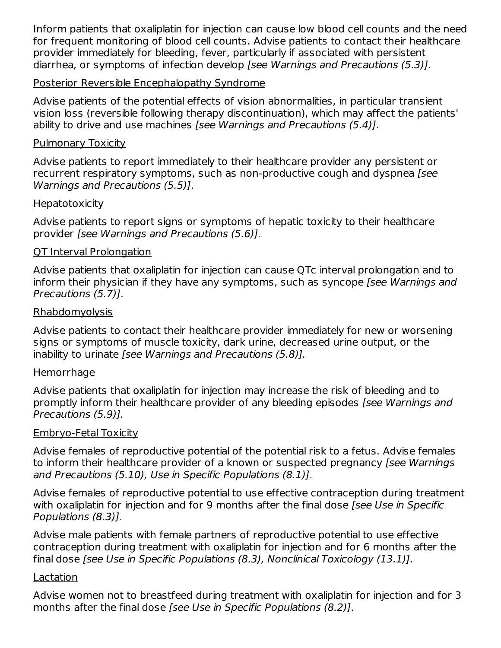Inform patients that oxaliplatin for injection can cause low blood cell counts and the need for frequent monitoring of blood cell counts. Advise patients to contact their healthcare provider immediately for bleeding, fever, particularly if associated with persistent diarrhea, or symptoms of infection develop [see Warnings and Precautions (5.3)].

#### Posterior Reversible Encephalopathy Syndrome

Advise patients of the potential effects of vision abnormalities, in particular transient vision loss (reversible following therapy discontinuation), which may affect the patients' ability to drive and use machines [see Warnings and Precautions (5.4)].

#### Pulmonary Toxicity

Advise patients to report immediately to their healthcare provider any persistent or recurrent respiratory symptoms, such as non-productive cough and dyspnea (see Warnings and Precautions (5.5)].

#### **Hepatotoxicity**

Advise patients to report signs or symptoms of hepatic toxicity to their healthcare provider [see Warnings and Precautions (5.6)].

#### QT Interval Prolongation

Advise patients that oxaliplatin for injection can cause QTc interval prolongation and to inform their physician if they have any symptoms, such as syncope (see Warnings and Precautions (5.7)].

#### Rhabdomyolysis

Advise patients to contact their healthcare provider immediately for new or worsening signs or symptoms of muscle toxicity, dark urine, decreased urine output, or the inability to urinate [see Warnings and Precautions (5.8)].

### Hemorrhage

Advise patients that oxaliplatin for injection may increase the risk of bleeding and to promptly inform their healthcare provider of any bleeding episodes [see Warnings and Precautions (5.9)].

#### Embryo-Fetal Toxicity

Advise females of reproductive potential of the potential risk to a fetus. Advise females to inform their healthcare provider of a known or suspected pregnancy [see Warnings and Precautions (5.10), Use in Specific Populations (8.1)].

Advise females of reproductive potential to use effective contraception during treatment with oxaliplatin for injection and for 9 months after the final dose [see Use in Specific Populations (8.3)].

Advise male patients with female partners of reproductive potential to use effective contraception during treatment with oxaliplatin for injection and for 6 months after the final dose [see Use in Specific Populations (8.3), Nonclinical Toxicology (13.1)].

#### Lactation

Advise women not to breastfeed during treatment with oxaliplatin for injection and for 3 months after the final dose [see Use in Specific Populations (8.2)].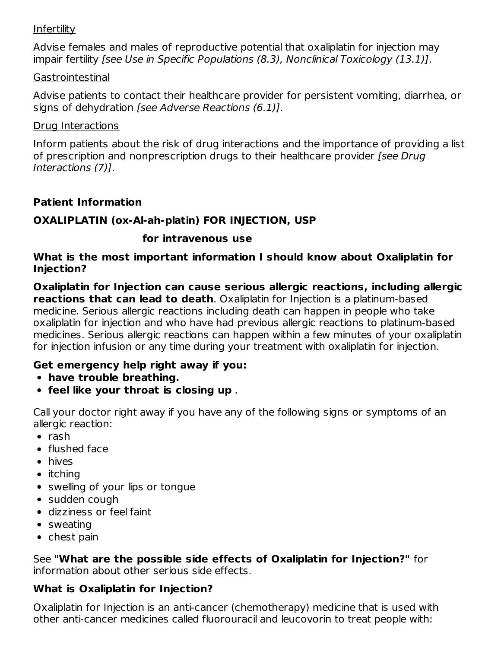### **Infertility**

Advise females and males of reproductive potential that oxaliplatin for injection may impair fertility [see Use in Specific Populations (8.3), Nonclinical Toxicology (13.1)].

#### Gastrointestinal

Advise patients to contact their healthcare provider for persistent vomiting, diarrhea, or signs of dehydration *[see Adverse Reactions (6.1)]*.

#### Drug Interactions

Inform patients about the risk of drug interactions and the importance of providing a list of prescription and nonprescription drugs to their healthcare provider [see Drug] Interactions (7)].

### **Patient Information**

### **OXALIPLATIN (ox-Al-ah-platin) FOR INJECTION, USP**

### **for intravenous use**

#### **What is the most important information I should know about Oxaliplatin for Injection?**

**Oxaliplatin for Injection can cause serious allergic reactions, including allergic reactions that can lead to death**. Oxaliplatin for Injection is a platinum-based medicine. Serious allergic reactions including death can happen in people who take oxaliplatin for injection and who have had previous allergic reactions to platinum-based medicines. Serious allergic reactions can happen within a few minutes of your oxaliplatin for injection infusion or any time during your treatment with oxaliplatin for injection.

### **Get emergency help right away if you:**

- **have trouble breathing.**
- **feel like your throat is closing up** .

Call your doctor right away if you have any of the following signs or symptoms of an allergic reaction:

- $\bullet$  rash
- flushed face
- hives
- $\bullet$  itching
- swelling of your lips or tongue
- sudden cough
- dizziness or feel faint
- sweating
- chest pain

See **"What are the possible side effects of Oxaliplatin for Injection?"** for information about other serious side effects.

### **What is Oxaliplatin for Injection?**

Oxaliplatin for Injection is an anti-cancer (chemotherapy) medicine that is used with other anti-cancer medicines called fluorouracil and leucovorin to treat people with: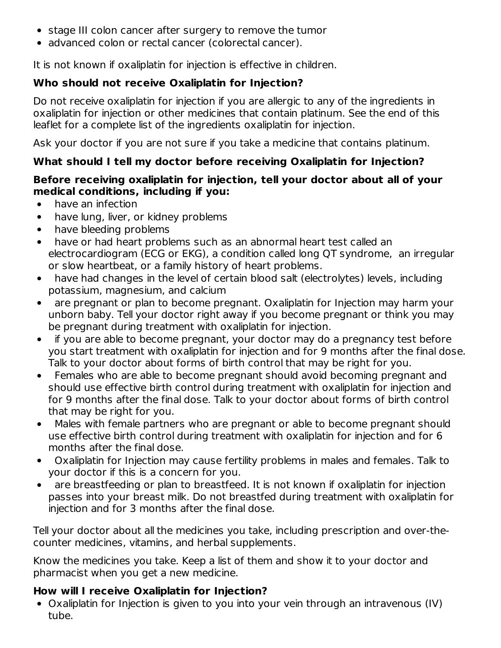- stage III colon cancer after surgery to remove the tumor
- advanced colon or rectal cancer (colorectal cancer).

It is not known if oxaliplatin for injection is effective in children.

# **Who should not receive Oxaliplatin for Injection?**

Do not receive oxaliplatin for injection if you are allergic to any of the ingredients in oxaliplatin for injection or other medicines that contain platinum. See the end of this leaflet for a complete list of the ingredients oxaliplatin for injection.

Ask your doctor if you are not sure if you take a medicine that contains platinum.

# **What should I tell my doctor before receiving Oxaliplatin for Injection?**

# **Before receiving oxaliplatin for injection, tell your doctor about all of your medical conditions, including if you:**

- have an infection  $\bullet$
- have lung, liver, or kidney problems  $\bullet$
- have bleeding problems  $\bullet$
- have or had heart problems such as an abnormal heart test called an electrocardiogram (ECG or EKG), a condition called long QT syndrome, an irregular or slow heartbeat, or a family history of heart problems.
- have had changes in the level of certain blood salt (electrolytes) levels, including  $\bullet$ potassium, magnesium, and calcium
- are pregnant or plan to become pregnant. Oxaliplatin for Injection may harm your unborn baby. Tell your doctor right away if you become pregnant or think you may be pregnant during treatment with oxaliplatin for injection.
- if you are able to become pregnant, your doctor may do a pregnancy test before you start treatment with oxaliplatin for injection and for 9 months after the final dose. Talk to your doctor about forms of birth control that may be right for you.
- Females who are able to become pregnant should avoid becoming pregnant and should use effective birth control during treatment with oxaliplatin for injection and for 9 months after the final dose. Talk to your doctor about forms of birth control that may be right for you.
- Males with female partners who are pregnant or able to become pregnant should  $\bullet$ use effective birth control during treatment with oxaliplatin for injection and for 6 months after the final dose.
- Oxaliplatin for Injection may cause fertility problems in males and females. Talk to your doctor if this is a concern for you.
- are breastfeeding or plan to breastfeed. It is not known if oxaliplatin for injection passes into your breast milk. Do not breastfed during treatment with oxaliplatin for injection and for 3 months after the final dose.

Tell your doctor about all the medicines you take, including prescription and over-thecounter medicines, vitamins, and herbal supplements.

Know the medicines you take. Keep a list of them and show it to your doctor and pharmacist when you get a new medicine.

# **How will I receive Oxaliplatin for Injection?**

Oxaliplatin for Injection is given to you into your vein through an intravenous (IV) tube.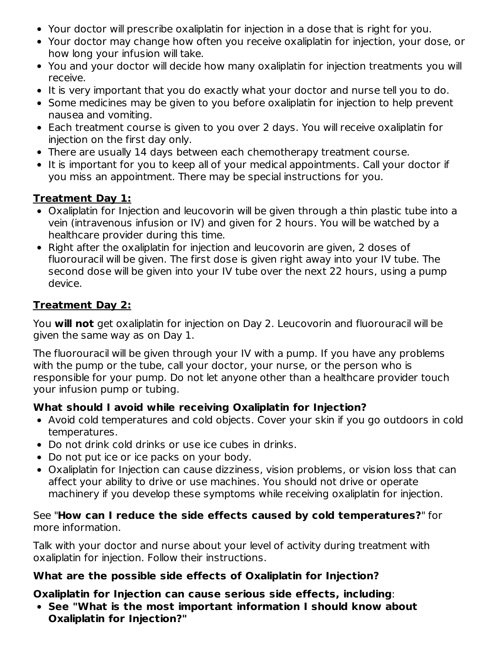- Your doctor will prescribe oxaliplatin for injection in a dose that is right for you.
- Your doctor may change how often you receive oxaliplatin for injection, your dose, or how long your infusion will take.
- You and your doctor will decide how many oxaliplatin for injection treatments you will receive.
- It is very important that you do exactly what your doctor and nurse tell you to do.
- Some medicines may be given to you before oxaliplatin for injection to help prevent nausea and vomiting.
- Each treatment course is given to you over 2 days. You will receive oxaliplatin for injection on the first day only.
- There are usually 14 days between each chemotherapy treatment course.
- It is important for you to keep all of your medical appointments. Call your doctor if you miss an appointment. There may be special instructions for you.

# **Treatment Day 1:**

- Oxaliplatin for Injection and leucovorin will be given through a thin plastic tube into a vein (intravenous infusion or IV) and given for 2 hours. You will be watched by a healthcare provider during this time.
- Right after the oxaliplatin for injection and leucovorin are given, 2 doses of fluorouracil will be given. The first dose is given right away into your IV tube. The second dose will be given into your IV tube over the next 22 hours, using a pump device.

# **Treatment Day 2:**

You **will not** get oxaliplatin for injection on Day 2. Leucovorin and fluorouracil will be given the same way as on Day 1.

The fluorouracil will be given through your IV with a pump. If you have any problems with the pump or the tube, call your doctor, your nurse, or the person who is responsible for your pump. Do not let anyone other than a healthcare provider touch your infusion pump or tubing.

# **What should I avoid while receiving Oxaliplatin for Injection?**

- Avoid cold temperatures and cold objects. Cover your skin if you go outdoors in cold temperatures.
- Do not drink cold drinks or use ice cubes in drinks.
- Do not put ice or ice packs on your body.
- Oxaliplatin for Injection can cause dizziness, vision problems, or vision loss that can affect your ability to drive or use machines. You should not drive or operate machinery if you develop these symptoms while receiving oxaliplatin for injection.

### See "**How can I reduce the side effects caused by cold temperatures?**" for more information.

Talk with your doctor and nurse about your level of activity during treatment with oxaliplatin for injection. Follow their instructions.

# **What are the possible side effects of Oxaliplatin for Injection?**

# **Oxaliplatin for Injection can cause serious side effects, including**:

**See "What is the most important information I should know about Oxaliplatin for Injection?"**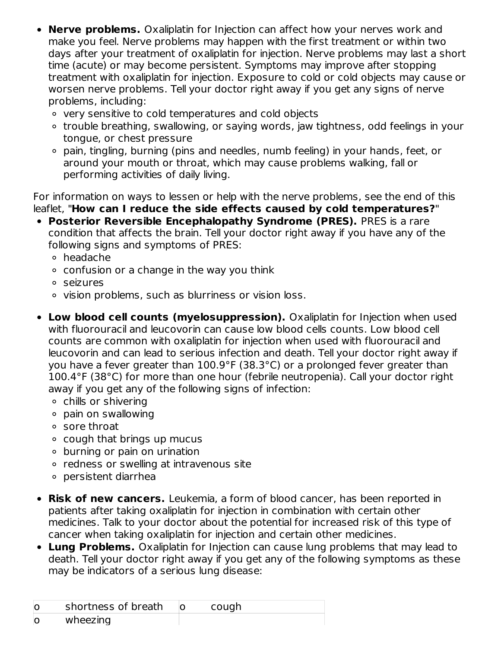- **Nerve problems.** Oxaliplatin for Injection can affect how your nerves work and  $\bullet$ make you feel. Nerve problems may happen with the first treatment or within two days after your treatment of oxaliplatin for injection. Nerve problems may last a short time (acute) or may become persistent. Symptoms may improve after stopping treatment with oxaliplatin for injection. Exposure to cold or cold objects may cause or worsen nerve problems. Tell your doctor right away if you get any signs of nerve problems, including:
	- very sensitive to cold temperatures and cold objects
	- trouble breathing, swallowing, or saying words, jaw tightness, odd feelings in your tongue, or chest pressure
	- pain, tingling, burning (pins and needles, numb feeling) in your hands, feet, or around your mouth or throat, which may cause problems walking, fall or performing activities of daily living.

For information on ways to lessen or help with the nerve problems, see the end of this leaflet, "**How can I reduce the side effects caused by cold temperatures?**"

- **Posterior Reversible Encephalopathy Syndrome (PRES).** PRES is a rare condition that affects the brain. Tell your doctor right away if you have any of the following signs and symptoms of PRES:
	- headache
	- $\circ$  confusion or a change in the way you think
	- seizures
	- <sup>o</sup> vision problems, such as blurriness or vision loss.
- **Low blood cell counts (myelosuppression).** Oxaliplatin for Injection when used with fluorouracil and leucovorin can cause low blood cells counts. Low blood cell counts are common with oxaliplatin for injection when used with fluorouracil and leucovorin and can lead to serious infection and death. Tell your doctor right away if you have a fever greater than 100.9°F (38.3°C) or a prolonged fever greater than 100.4°F (38°C) for more than one hour (febrile neutropenia). Call your doctor right away if you get any of the following signs of infection:
	- chills or shivering
	- pain on swallowing
	- sore throat
	- cough that brings up mucus
	- burning or pain on urination
	- redness or swelling at intravenous site
	- persistent diarrhea
- **Risk of new cancers.** Leukemia, a form of blood cancer, has been reported in  $\bullet$ patients after taking oxaliplatin for injection in combination with certain other medicines. Talk to your doctor about the potential for increased risk of this type of cancer when taking oxaliplatin for injection and certain other medicines.
- **Lung Problems.** Oxaliplatin for Injection can cause lung problems that may lead to death. Tell your doctor right away if you get any of the following symptoms as these may be indicators of a serious lung disease:

|    | shortness of breath | cough |
|----|---------------------|-------|
| IC | wheezing            |       |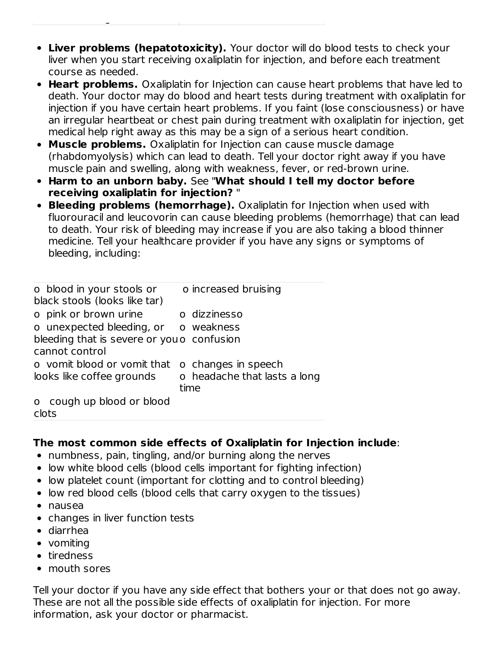- **Liver problems (hepatotoxicity).** Your doctor will do blood tests to check your liver when you start receiving oxaliplatin for injection, and before each treatment course as needed.
- **Heart problems.** Oxaliplatin for Injection can cause heart problems that have led to death. Your doctor may do blood and heart tests during treatment with oxaliplatin for injection if you have certain heart problems. If you faint (lose consciousness) or have an irregular heartbeat or chest pain during treatment with oxaliplatin for injection, get medical help right away as this may be a sign of a serious heart condition.
- **Muscle problems.** Oxaliplatin for Injection can cause muscle damage (rhabdomyolysis) which can lead to death. Tell your doctor right away if you have muscle pain and swelling, along with weakness, fever, or red-brown urine.
- **Harm to an unborn baby.** See "**What should I tell my doctor before receiving oxaliplatin for injection?** "
- **Bleeding problems (hemorrhage).** Oxaliplatin for Injection when used with fluorouracil and leucovorin can cause bleeding problems (hemorrhage) that can lead to death. Your risk of bleeding may increase if you are also taking a blood thinner medicine. Tell your healthcare provider if you have any signs or symptoms of bleeding, including:

| o blood in your stools or<br>black stools (looks like tar) | o increased bruising         |
|------------------------------------------------------------|------------------------------|
| o pink or brown urine                                      | o dizzinesso                 |
| o unexpected bleeding, or o weakness                       |                              |
| bleeding that is severe or you o confusion                 |                              |
| cannot control                                             |                              |
| o vomit blood or vomit that                                | o changes in speech          |
| looks like coffee grounds                                  | o headache that lasts a long |
|                                                            | time                         |
| o cough up blood or blood                                  |                              |
| clots                                                      |                              |

# **The most common side effects of Oxaliplatin for Injection include**:

- numbness, pain, tingling, and/or burning along the nerves
- low white blood cells (blood cells important for fighting infection)
- low platelet count (important for clotting and to control bleeding)
- low red blood cells (blood cells that carry oxygen to the tissues)
- nausea

o wheezing

- changes in liver function tests
- diarrhea
- vomiting
- tiredness
- mouth sores

Tell your doctor if you have any side effect that bothers your or that does not go away. These are not all the possible side effects of oxaliplatin for injection. For more information, ask your doctor or pharmacist.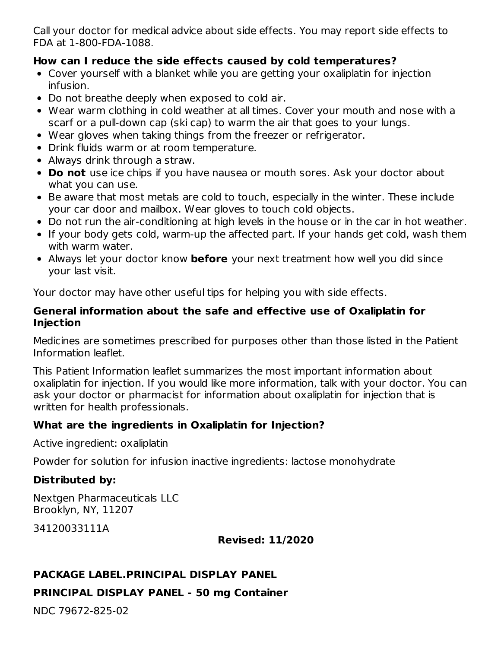Call your doctor for medical advice about side effects. You may report side effects to FDA at 1-800-FDA-1088.

### **How can I reduce the side effects caused by cold temperatures?**

- Cover yourself with a blanket while you are getting your oxaliplatin for injection infusion.
- Do not breathe deeply when exposed to cold air.
- Wear warm clothing in cold weather at all times. Cover your mouth and nose with a scarf or a pull-down cap (ski cap) to warm the air that goes to your lungs.
- Wear gloves when taking things from the freezer or refrigerator.
- Drink fluids warm or at room temperature.
- Always drink through a straw.
- **Do not** use ice chips if you have nausea or mouth sores. Ask your doctor about what you can use.
- Be aware that most metals are cold to touch, especially in the winter. These include your car door and mailbox. Wear gloves to touch cold objects.
- Do not run the air-conditioning at high levels in the house or in the car in hot weather.
- If your body gets cold, warm-up the affected part. If your hands get cold, wash them with warm water.
- Always let your doctor know **before** your next treatment how well you did since your last visit.

Your doctor may have other useful tips for helping you with side effects.

#### **General information about the safe and effective use of Oxaliplatin for Injection**

Medicines are sometimes prescribed for purposes other than those listed in the Patient Information leaflet.

This Patient Information leaflet summarizes the most important information about oxaliplatin for injection. If you would like more information, talk with your doctor. You can ask your doctor or pharmacist for information about oxaliplatin for injection that is written for health professionals.

### **What are the ingredients in Oxaliplatin for Injection?**

Active ingredient: oxaliplatin

Powder for solution for infusion inactive ingredients: lactose monohydrate

# **Distributed by:**

Nextgen Pharmaceuticals LLC Brooklyn, NY, 11207

34120033111A

**Revised: 11/2020**

### **PACKAGE LABEL.PRINCIPAL DISPLAY PANEL**

# **PRINCIPAL DISPLAY PANEL - 50 mg Container**

NDC 79672-825-02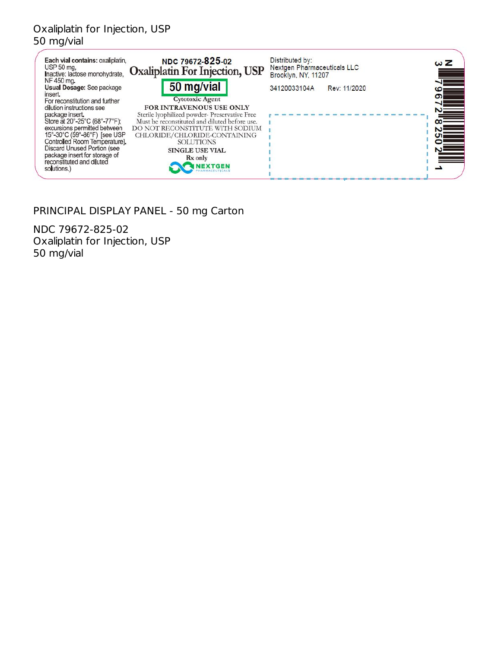# Oxaliplatin for Injection, USP 50 mg/vial

| Each vial contains: oxaliplatin.<br>USP 50 mg.<br>Inactive: lactose monohydrate.<br>NF 450 mg.                                                                                                                                                                                                                                                                              | NDC 79672-825-02<br>Oxaliplatin For Injection, USP                                                                                                                                                                                                                                                   | Distributed by:<br>Nextgen Pharmaceuticals LLC<br>Brooklyn, NY, 11207 |              | ωΖ                                                    |
|-----------------------------------------------------------------------------------------------------------------------------------------------------------------------------------------------------------------------------------------------------------------------------------------------------------------------------------------------------------------------------|------------------------------------------------------------------------------------------------------------------------------------------------------------------------------------------------------------------------------------------------------------------------------------------------------|-----------------------------------------------------------------------|--------------|-------------------------------------------------------|
| Usual Dosage: See package<br>insert.<br>For reconstitution and further<br>dilution instructions see<br>package insert.<br>Store at 20°-25°C (68°-77°F);<br>excursions permitted between<br>15°-30°C (59°-86°F) [see USP<br>Controlled Room Temperature].<br><b>Discard Unused Portion (see</b><br>package insert for storage of<br>reconstituted and diluted<br>solutions.) | 50 mg/vial<br><b>Cytotoxic Agent</b><br><b>FOR INTRAVENOUS USE ONLY</b><br>Sterile lyophilized powder-Preservative Free<br>Must be reconstituted and diluted before use.<br>DO NOT RECONSTITUTE WITH SODIUM<br>CHLORIDE/CHLORIDE-CONTAINING<br><b>SOLUTIONS</b><br><b>SINGLE USE VIAL</b><br>Rx only | 34120033104A                                                          | Rev: 11/2020 | <b>වා</b><br>$\blacktriangleright$<br>$\infty$<br>Cπ. |

# PRINCIPAL DISPLAY PANEL - 50 mg Carton

NDC 79672-825-02 Oxaliplatin for Injection, USP 50 mg/vial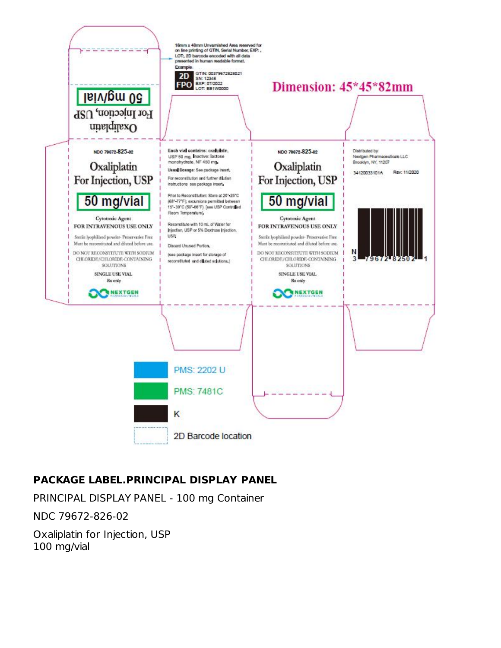

# **PACKAGE LABEL.PRINCIPAL DISPLAY PANEL**

PRINCIPAL DISPLAY PANEL - 100 mg Container

NDC 79672-826-02

Oxaliplatin for Injection, USP 100 mg/vial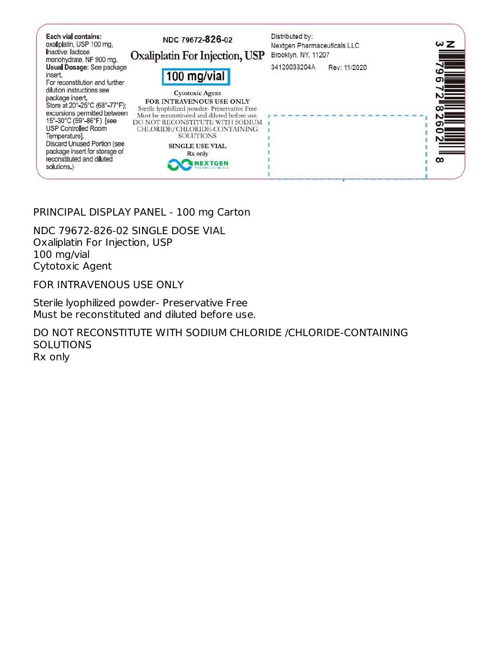

### PRINCIPAL DISPLAY PANEL - 100 mg Carton

NDC 79672-826-02 SINGLE DOSE VIAL Oxaliplatin For Injection, USP 100 mg/vial Cytotoxic Agent

FOR INTRAVENOUS USE ONLY

Sterile lyophilized powder- Preservative Free Must be reconstituted and diluted before use.

DO NOT RECONSTITUTE WITH SODIUM CHLORIDE /CHLORIDE-CONTAINING **SOLUTIONS** Rx only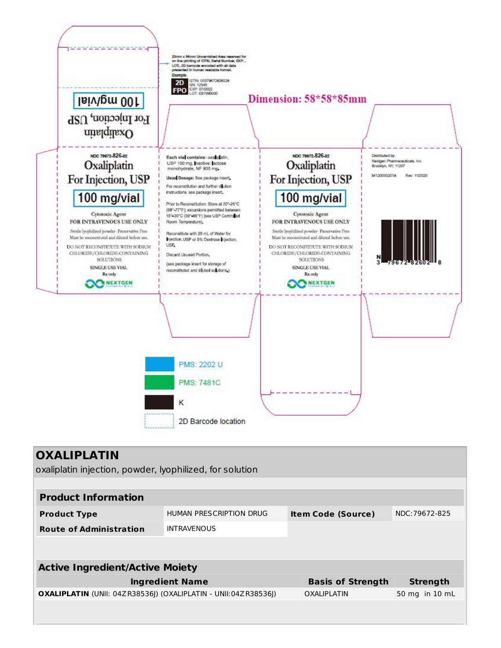

| <b>OXALIPLATIN</b><br>oxaliplatin injection, powder, lyophilized, for solution |                         |  |                           |                 |  |
|--------------------------------------------------------------------------------|-------------------------|--|---------------------------|-----------------|--|
|                                                                                |                         |  |                           |                 |  |
| <b>Product Information</b>                                                     |                         |  |                           |                 |  |
| <b>Product Type</b>                                                            | HUMAN PRESCRIPTION DRUG |  | <b>Item Code (Source)</b> | NDC: 79672-825  |  |
| <b>Route of Administration</b>                                                 | <b>INTRAVENOUS</b>      |  |                           |                 |  |
|                                                                                |                         |  |                           |                 |  |
|                                                                                |                         |  |                           |                 |  |
| <b>Active Ingredient/Active Moiety</b>                                         |                         |  |                           |                 |  |
|                                                                                | <b>Ingredient Name</b>  |  | <b>Basis of Strength</b>  | <b>Strength</b> |  |
| <b>OXALIPLATIN</b> (UNII: 04Z R38536)) (OXALIPLATIN - UNII:04Z R38536))        |                         |  | <b>OXALIPLATIN</b>        | 50 mg in 10 mL  |  |
|                                                                                |                         |  |                           |                 |  |
|                                                                                |                         |  |                           |                 |  |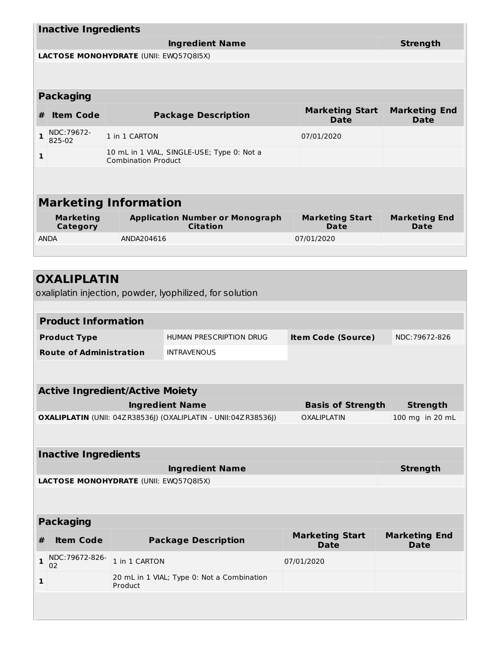| <b>Inactive Ingredients</b>            |                                                                          |                                                                |  |                                       |                                     |
|----------------------------------------|--------------------------------------------------------------------------|----------------------------------------------------------------|--|---------------------------------------|-------------------------------------|
| <b>Ingredient Name</b>                 |                                                                          |                                                                |  |                                       | <b>Strength</b>                     |
| LACTOSE MONOHYDRATE (UNII: EWQ57Q8I5X) |                                                                          |                                                                |  |                                       |                                     |
|                                        |                                                                          |                                                                |  |                                       |                                     |
| <b>Packaging</b>                       |                                                                          |                                                                |  |                                       |                                     |
| <b>Item Code</b><br>#                  |                                                                          | <b>Package Description</b>                                     |  | <b>Marketing Start</b><br><b>Date</b> | <b>Marketing End</b><br><b>Date</b> |
| NDC: 79672-<br>1<br>825-02             | 1 in 1 CARTON                                                            |                                                                |  | 07/01/2020                            |                                     |
| 1                                      | 10 mL in 1 VIAL, SINGLE-USE; Type 0: Not a<br><b>Combination Product</b> |                                                                |  |                                       |                                     |
|                                        |                                                                          |                                                                |  |                                       |                                     |
|                                        |                                                                          |                                                                |  |                                       |                                     |
| <b>Marketing Information</b>           |                                                                          |                                                                |  |                                       |                                     |
| <b>Marketing</b><br><b>Category</b>    |                                                                          | <b>Application Number or Monograph</b><br><b>Citation</b>      |  | <b>Marketing Start</b><br><b>Date</b> | <b>Marketing End</b><br>Date        |
| <b>ANDA</b>                            | ANDA204616                                                               |                                                                |  | 07/01/2020                            |                                     |
|                                        |                                                                          |                                                                |  |                                       |                                     |
|                                        |                                                                          |                                                                |  |                                       |                                     |
| <b>OXALIPLATIN</b>                     |                                                                          |                                                                |  |                                       |                                     |
|                                        |                                                                          | oxaliplatin injection, powder, lyophilized, for solution       |  |                                       |                                     |
| <b>Product Information</b>             |                                                                          |                                                                |  |                                       |                                     |
| <b>Product Type</b>                    |                                                                          | HUMAN PRESCRIPTION DRUG                                        |  | <b>Item Code (Source)</b>             | NDC: 79672-826                      |
| <b>Route of Administration</b>         |                                                                          | <b>INTRAVENOUS</b>                                             |  |                                       |                                     |
|                                        |                                                                          |                                                                |  |                                       |                                     |
| <b>Active Ingredient/Active Moiety</b> |                                                                          |                                                                |  |                                       |                                     |
| <b>Ingredient Name</b>                 |                                                                          |                                                                |  | <b>Basis of Strength</b>              | <b>Strength</b>                     |
|                                        |                                                                          | OXALIPLATIN (UNII: 04ZR38536J) (OXALIPLATIN - UNII:04ZR38536J) |  | OXALIPLATIN                           | 100 mg in 20 mL                     |
|                                        |                                                                          |                                                                |  |                                       |                                     |
| <b>Inactive Ingredients</b>            |                                                                          |                                                                |  |                                       |                                     |
|                                        |                                                                          | <b>Ingredient Name</b>                                         |  |                                       | <b>Strength</b>                     |
| LACTOSE MONOHYDRATE (UNII: EWQ57Q8I5X) |                                                                          |                                                                |  |                                       |                                     |
|                                        |                                                                          |                                                                |  |                                       |                                     |
| <b>Packaging</b>                       |                                                                          |                                                                |  |                                       |                                     |

| # | <b>Item Code</b>       | <b>Package Description</b>                            | <b>Marketing Start</b><br><b>Date</b> | <b>Marketing End</b><br><b>Date</b> |  |  |
|---|------------------------|-------------------------------------------------------|---------------------------------------|-------------------------------------|--|--|
|   | 1 NDC:79672-826-<br>02 | 1 in 1 CARTON                                         | 07/01/2020                            |                                     |  |  |
|   |                        | 20 mL in 1 VIAL; Type 0: Not a Combination<br>Product |                                       |                                     |  |  |
|   |                        |                                                       |                                       |                                     |  |  |